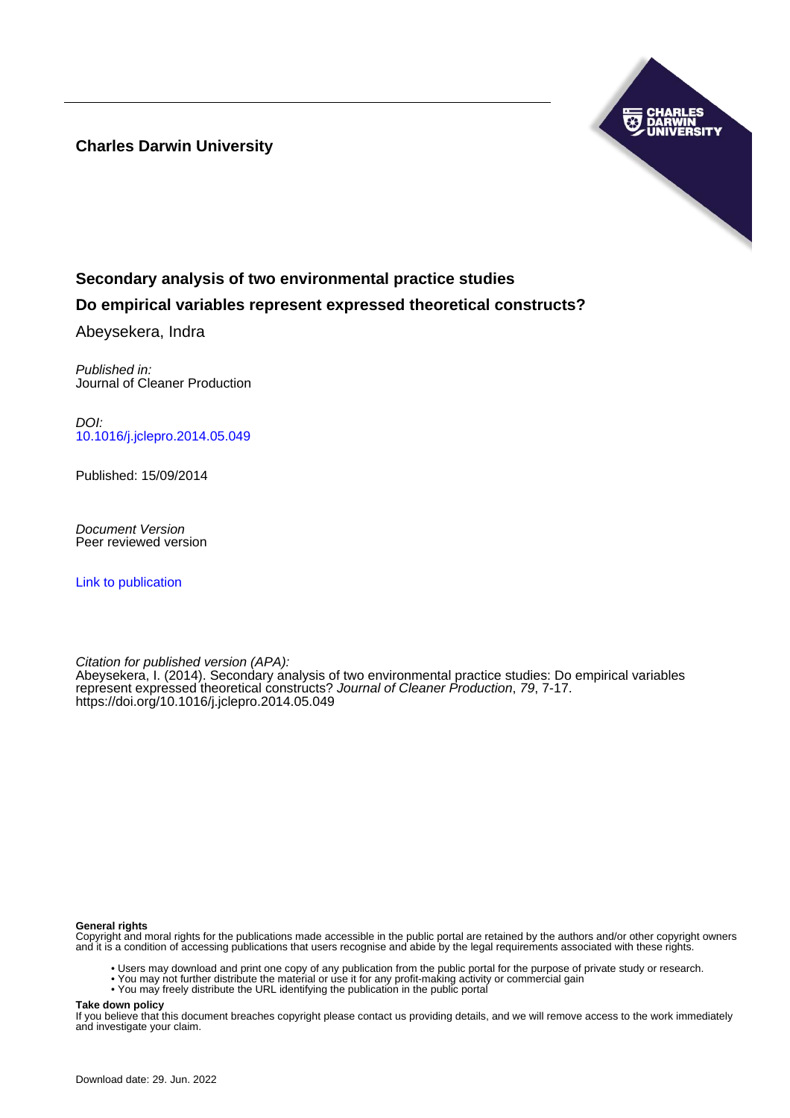**Charles Darwin University**



# **Secondary analysis of two environmental practice studies**

## **Do empirical variables represent expressed theoretical constructs?**

Abeysekera, Indra

Published in: Journal of Cleaner Production

DOI: [10.1016/j.jclepro.2014.05.049](https://doi.org/10.1016/j.jclepro.2014.05.049)

Published: 15/09/2014

Document Version Peer reviewed version

[Link to publication](https://researchers.cdu.edu.au/en/publications/c02bc19d-068c-46fb-8f4f-645cb3777dfd)

Citation for published version (APA): Abeysekera, I. (2014). Secondary analysis of two environmental practice studies: Do empirical variables represent expressed theoretical constructs? Journal of Cleaner Production, 79, 7-17. <https://doi.org/10.1016/j.jclepro.2014.05.049>

#### **General rights**

Copyright and moral rights for the publications made accessible in the public portal are retained by the authors and/or other copyright owners and it is a condition of accessing publications that users recognise and abide by the legal requirements associated with these rights.

- Users may download and print one copy of any publication from the public portal for the purpose of private study or research.
- You may not further distribute the material or use it for any profit-making activity or commercial gain
- You may freely distribute the URL identifying the publication in the public portal

**Take down policy**

If you believe that this document breaches copyright please contact us providing details, and we will remove access to the work immediately and investigate your claim.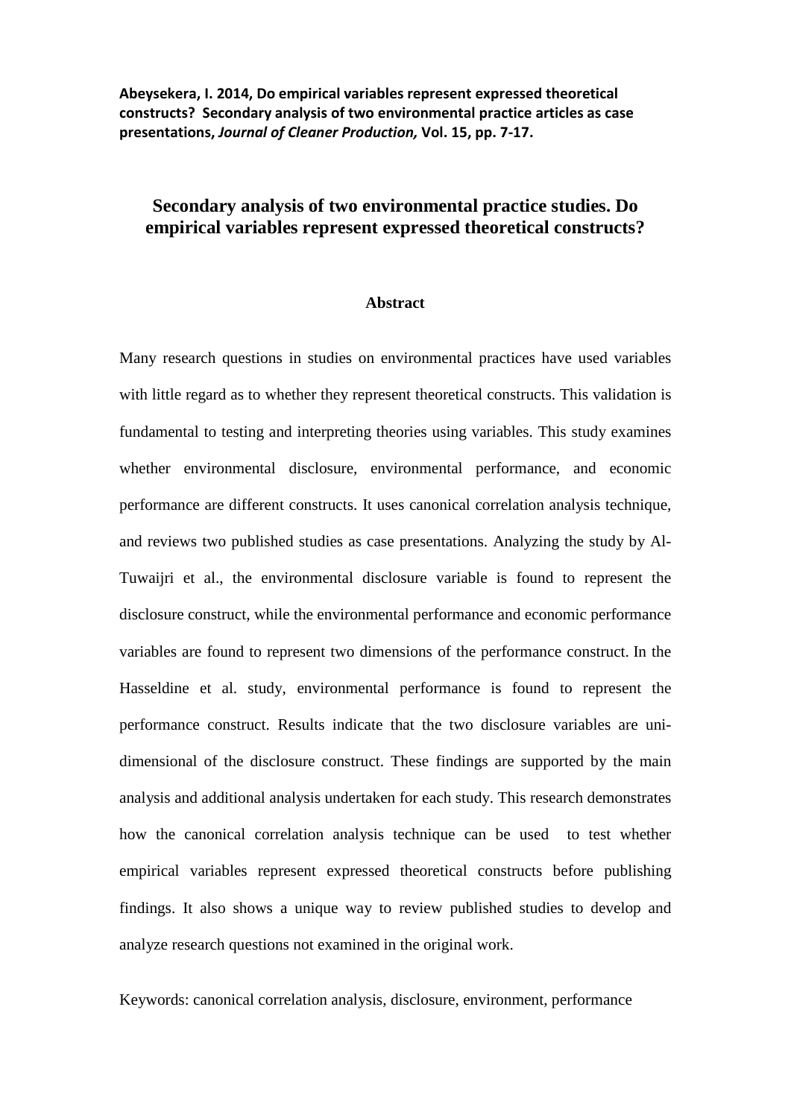**Abeysekera, I. 2014, Do empirical variables represent expressed theoretical constructs? Secondary analysis of two environmental practice articles as case presentations,** *Journal of Cleaner Production,* **Vol. 15, pp. 7-17.**

## **Secondary analysis of two environmental practice studies. Do empirical variables represent expressed theoretical constructs?**

#### **Abstract**

Many research questions in studies on environmental practices have used variables with little regard as to whether they represent theoretical constructs. This validation is fundamental to testing and interpreting theories using variables. This study examines whether environmental disclosure, environmental performance, and economic performance are different constructs. It uses canonical correlation analysis technique, and reviews two published studies as case presentations. Analyzing the study by Al-Tuwaijri et al., the environmental disclosure variable is found to represent the disclosure construct, while the environmental performance and economic performance variables are found to represent two dimensions of the performance construct. In the Hasseldine et al. study, environmental performance is found to represent the performance construct. Results indicate that the two disclosure variables are unidimensional of the disclosure construct. These findings are supported by the main analysis and additional analysis undertaken for each study. This research demonstrates how the canonical correlation analysis technique can be used to test whether empirical variables represent expressed theoretical constructs before publishing findings. It also shows a unique way to review published studies to develop and analyze research questions not examined in the original work.

Keywords: canonical correlation analysis, disclosure, environment, performance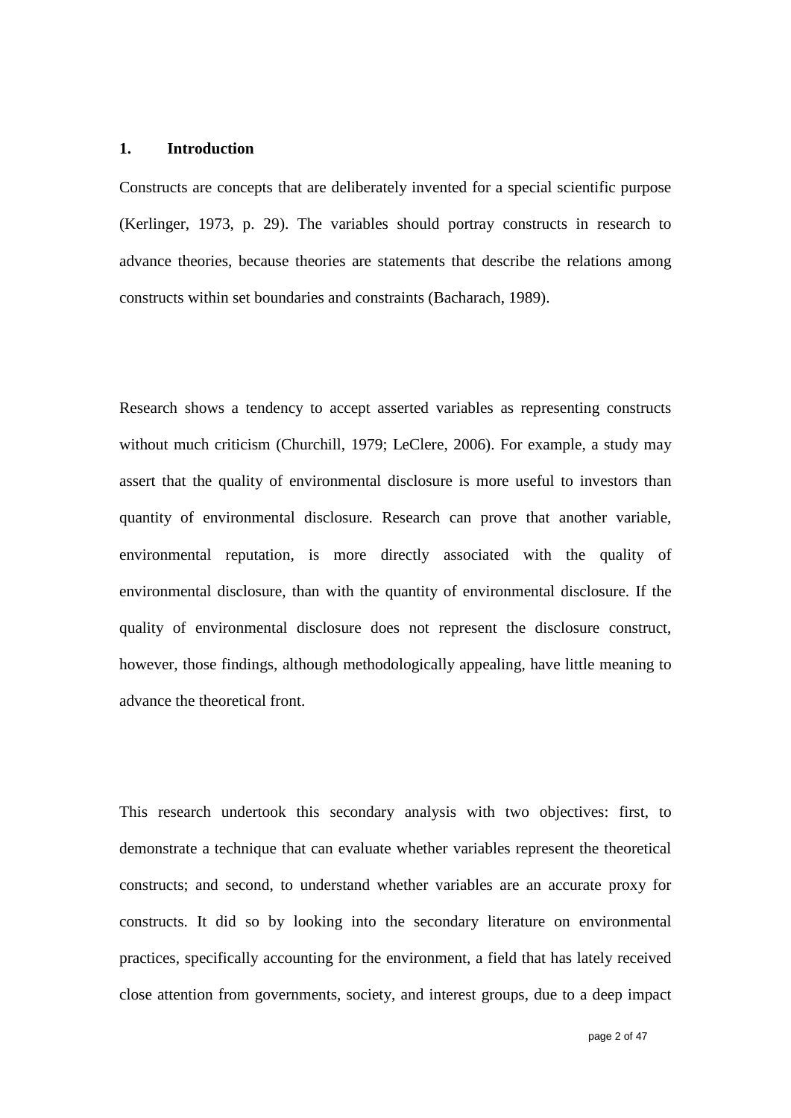#### **1. Introduction**

Constructs are concepts that are deliberately invented for a special scientific purpose (Kerlinger, 1973, p. 29). The variables should portray constructs in research to advance theories, because theories are statements that describe the relations among constructs within set boundaries and constraints (Bacharach, 1989).

Research shows a tendency to accept asserted variables as representing constructs without much criticism (Churchill, 1979; LeClere, 2006). For example, a study may assert that the quality of environmental disclosure is more useful to investors than quantity of environmental disclosure. Research can prove that another variable, environmental reputation, is more directly associated with the quality of environmental disclosure, than with the quantity of environmental disclosure. If the quality of environmental disclosure does not represent the disclosure construct, however, those findings, although methodologically appealing, have little meaning to advance the theoretical front.

This research undertook this secondary analysis with two objectives: first, to demonstrate a technique that can evaluate whether variables represent the theoretical constructs; and second, to understand whether variables are an accurate proxy for constructs. It did so by looking into the secondary literature on environmental practices, specifically accounting for the environment, a field that has lately received close attention from governments, society, and interest groups, due to a deep impact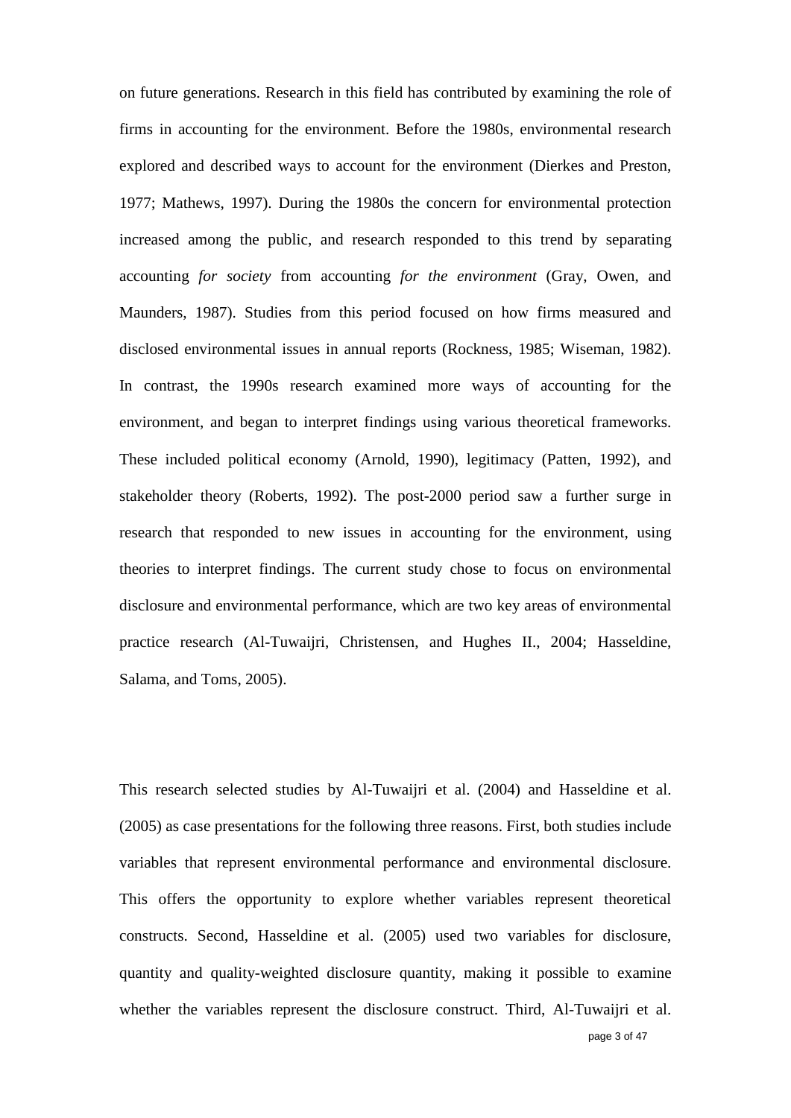on future generations. Research in this field has contributed by examining the role of firms in accounting for the environment. Before the 1980s, environmental research explored and described ways to account for the environment (Dierkes and Preston, 1977; Mathews, 1997). During the 1980s the concern for environmental protection increased among the public, and research responded to this trend by separating accounting *for society* from accounting *for the environment* (Gray, Owen, and Maunders, 1987). Studies from this period focused on how firms measured and disclosed environmental issues in annual reports (Rockness, 1985; Wiseman, 1982). In contrast, the 1990s research examined more ways of accounting for the environment, and began to interpret findings using various theoretical frameworks. These included political economy (Arnold, 1990), legitimacy (Patten, 1992), and stakeholder theory (Roberts, 1992). The post-2000 period saw a further surge in research that responded to new issues in accounting for the environment, using theories to interpret findings. The current study chose to focus on environmental disclosure and environmental performance, which are two key areas of environmental practice research (Al-Tuwaijri, Christensen, and Hughes II., 2004; Hasseldine, Salama, and Toms, 2005).

This research selected studies by Al-Tuwaijri et al. (2004) and Hasseldine et al. (2005) as case presentations for the following three reasons. First, both studies include variables that represent environmental performance and environmental disclosure. This offers the opportunity to explore whether variables represent theoretical constructs. Second, Hasseldine et al. (2005) used two variables for disclosure, quantity and quality-weighted disclosure quantity, making it possible to examine whether the variables represent the disclosure construct. Third, Al-Tuwaijri et al.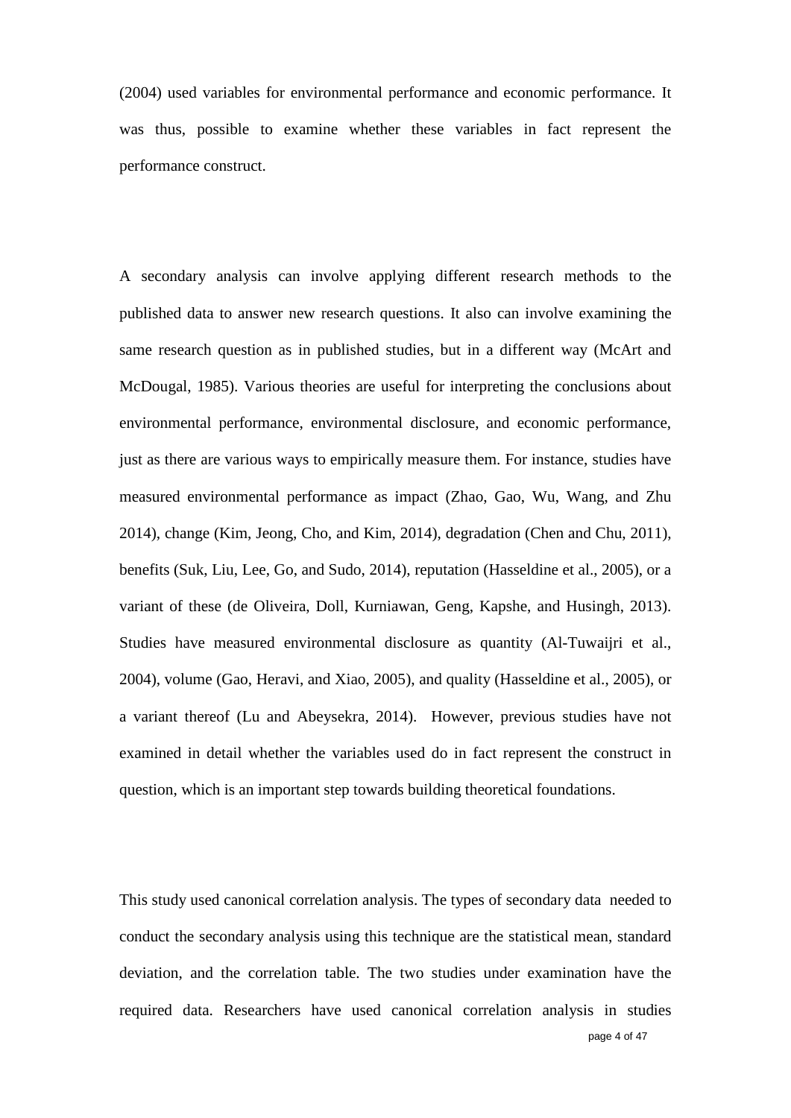(2004) used variables for environmental performance and economic performance. It was thus, possible to examine whether these variables in fact represent the performance construct.

A secondary analysis can involve applying different research methods to the published data to answer new research questions. It also can involve examining the same research question as in published studies, but in a different way (McArt and McDougal, 1985). Various theories are useful for interpreting the conclusions about environmental performance, environmental disclosure, and economic performance, just as there are various ways to empirically measure them. For instance, studies have measured environmental performance as impact (Zhao, Gao, Wu, Wang, and Zhu 2014), change (Kim, Jeong, Cho, and Kim, 2014), degradation (Chen and Chu, 2011), benefits (Suk, Liu, Lee, Go, and Sudo, 2014), reputation (Hasseldine et al., 2005), or a variant of these (de Oliveira, Doll, Kurniawan, Geng, Kapshe, and Husingh, 2013). Studies have measured environmental disclosure as quantity (Al-Tuwaijri et al., 2004), volume (Gao, Heravi, and Xiao, 2005), and quality (Hasseldine et al., 2005), or a variant thereof (Lu and Abeysekra, 2014). However, previous studies have not examined in detail whether the variables used do in fact represent the construct in question, which is an important step towards building theoretical foundations.

This study used canonical correlation analysis. The types of secondary data needed to conduct the secondary analysis using this technique are the statistical mean, standard deviation, and the correlation table. The two studies under examination have the required data. Researchers have used canonical correlation analysis in studies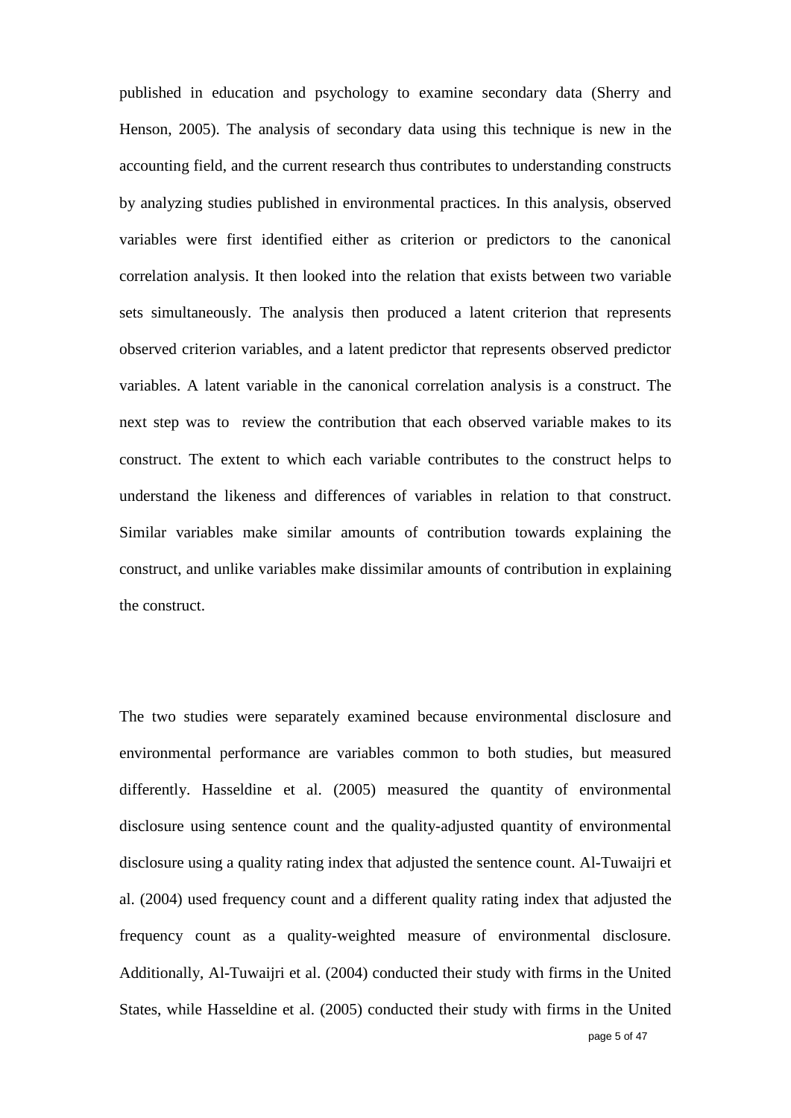published in education and psychology to examine secondary data (Sherry and Henson, 2005). The analysis of secondary data using this technique is new in the accounting field, and the current research thus contributes to understanding constructs by analyzing studies published in environmental practices. In this analysis, observed variables were first identified either as criterion or predictors to the canonical correlation analysis. It then looked into the relation that exists between two variable sets simultaneously. The analysis then produced a latent criterion that represents observed criterion variables, and a latent predictor that represents observed predictor variables. A latent variable in the canonical correlation analysis is a construct. The next step was to review the contribution that each observed variable makes to its construct. The extent to which each variable contributes to the construct helps to understand the likeness and differences of variables in relation to that construct. Similar variables make similar amounts of contribution towards explaining the construct, and unlike variables make dissimilar amounts of contribution in explaining the construct.

The two studies were separately examined because environmental disclosure and environmental performance are variables common to both studies, but measured differently. Hasseldine et al. (2005) measured the quantity of environmental disclosure using sentence count and the quality-adjusted quantity of environmental disclosure using a quality rating index that adjusted the sentence count. Al-Tuwaijri et al. (2004) used frequency count and a different quality rating index that adjusted the frequency count as a quality-weighted measure of environmental disclosure. Additionally, Al-Tuwaijri et al. (2004) conducted their study with firms in the United States, while Hasseldine et al. (2005) conducted their study with firms in the United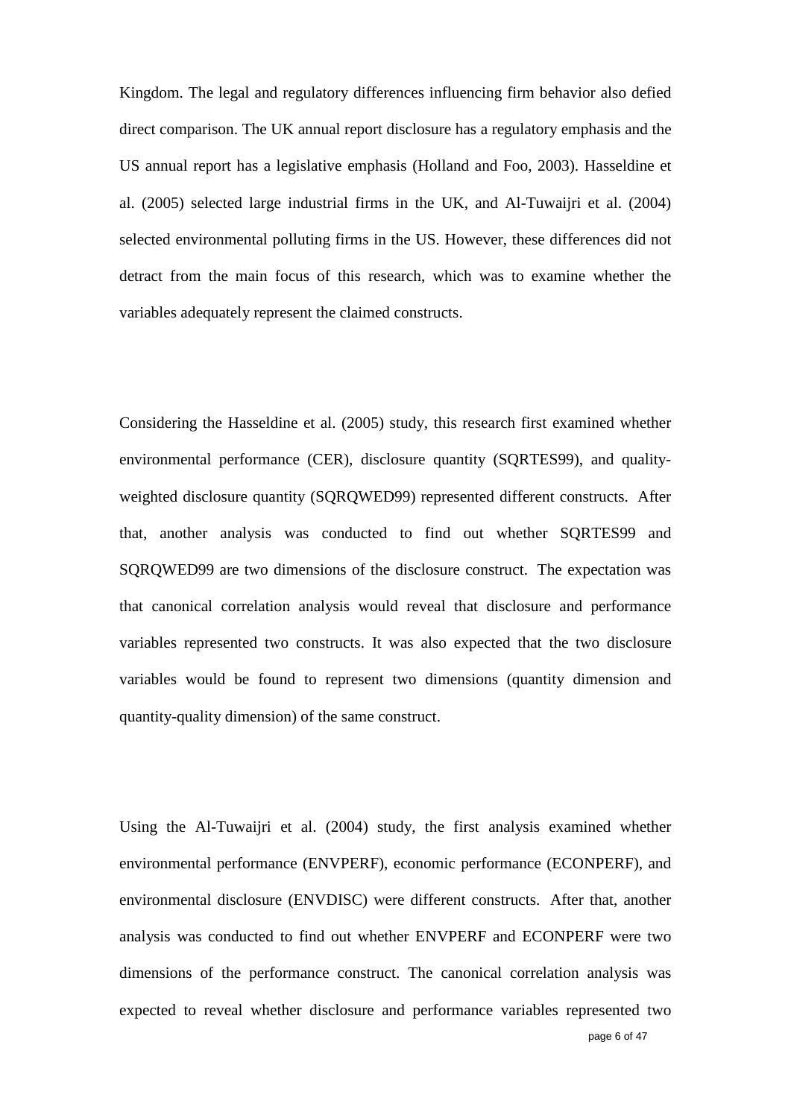Kingdom. The legal and regulatory differences influencing firm behavior also defied direct comparison. The UK annual report disclosure has a regulatory emphasis and the US annual report has a legislative emphasis (Holland and Foo, 2003). Hasseldine et al. (2005) selected large industrial firms in the UK, and Al-Tuwaijri et al. (2004) selected environmental polluting firms in the US. However, these differences did not detract from the main focus of this research, which was to examine whether the variables adequately represent the claimed constructs.

Considering the Hasseldine et al. (2005) study, this research first examined whether environmental performance (CER), disclosure quantity (SQRTES99), and qualityweighted disclosure quantity (SQRQWED99) represented different constructs. After that, another analysis was conducted to find out whether SQRTES99 and SQRQWED99 are two dimensions of the disclosure construct. The expectation was that canonical correlation analysis would reveal that disclosure and performance variables represented two constructs. It was also expected that the two disclosure variables would be found to represent two dimensions (quantity dimension and quantity-quality dimension) of the same construct.

Using the Al-Tuwaijri et al. (2004) study, the first analysis examined whether environmental performance (ENVPERF), economic performance (ECONPERF), and environmental disclosure (ENVDISC) were different constructs. After that, another analysis was conducted to find out whether ENVPERF and ECONPERF were two dimensions of the performance construct. The canonical correlation analysis was expected to reveal whether disclosure and performance variables represented two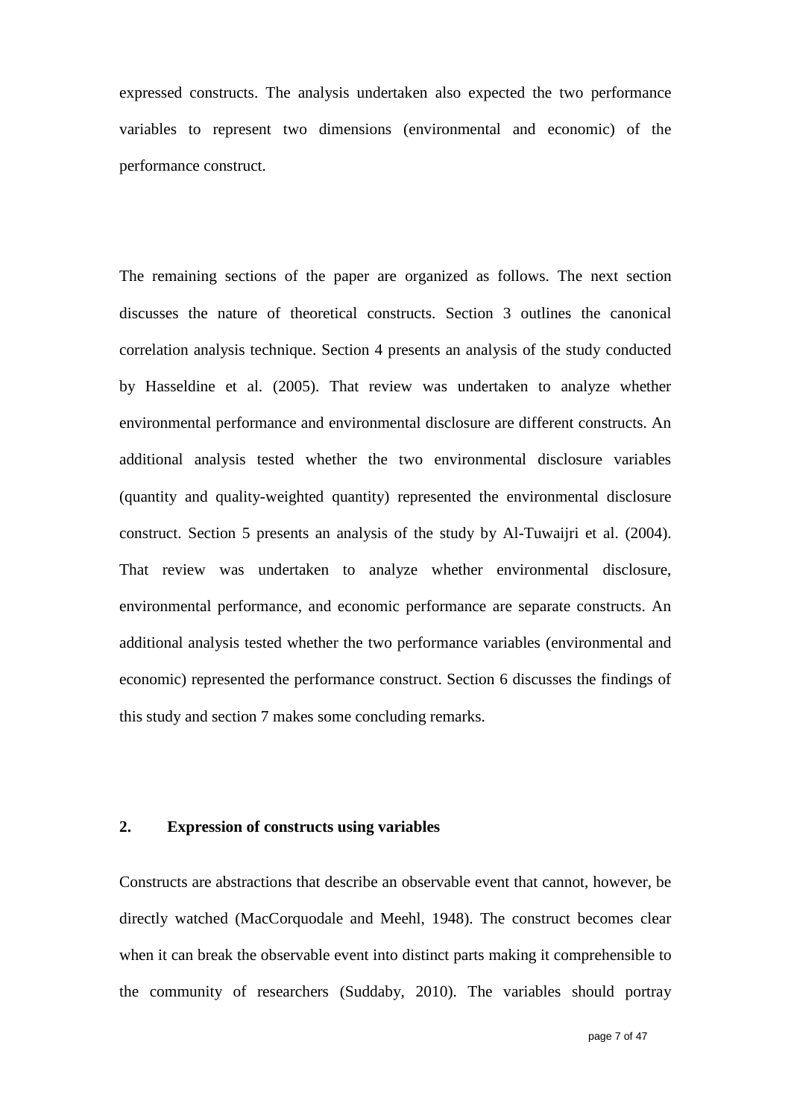expressed constructs. The analysis undertaken also expected the two performance variables to represent two dimensions (environmental and economic) of the performance construct.

The remaining sections of the paper are organized as follows. The next section discusses the nature of theoretical constructs. Section 3 outlines the canonical correlation analysis technique. Section 4 presents an analysis of the study conducted by Hasseldine et al. (2005). That review was undertaken to analyze whether environmental performance and environmental disclosure are different constructs. An additional analysis tested whether the two environmental disclosure variables (quantity and quality-weighted quantity) represented the environmental disclosure construct. Section 5 presents an analysis of the study by Al-Tuwaijri et al. (2004). That review was undertaken to analyze whether environmental disclosure, environmental performance, and economic performance are separate constructs. An additional analysis tested whether the two performance variables (environmental and economic) represented the performance construct. Section 6 discusses the findings of this study and section 7 makes some concluding remarks.

### **2. Expression of constructs using variables**

Constructs are abstractions that describe an observable event that cannot, however, be directly watched (MacCorquodale and Meehl, 1948). The construct becomes clear when it can break the observable event into distinct parts making it comprehensible to the community of researchers (Suddaby, 2010). The variables should portray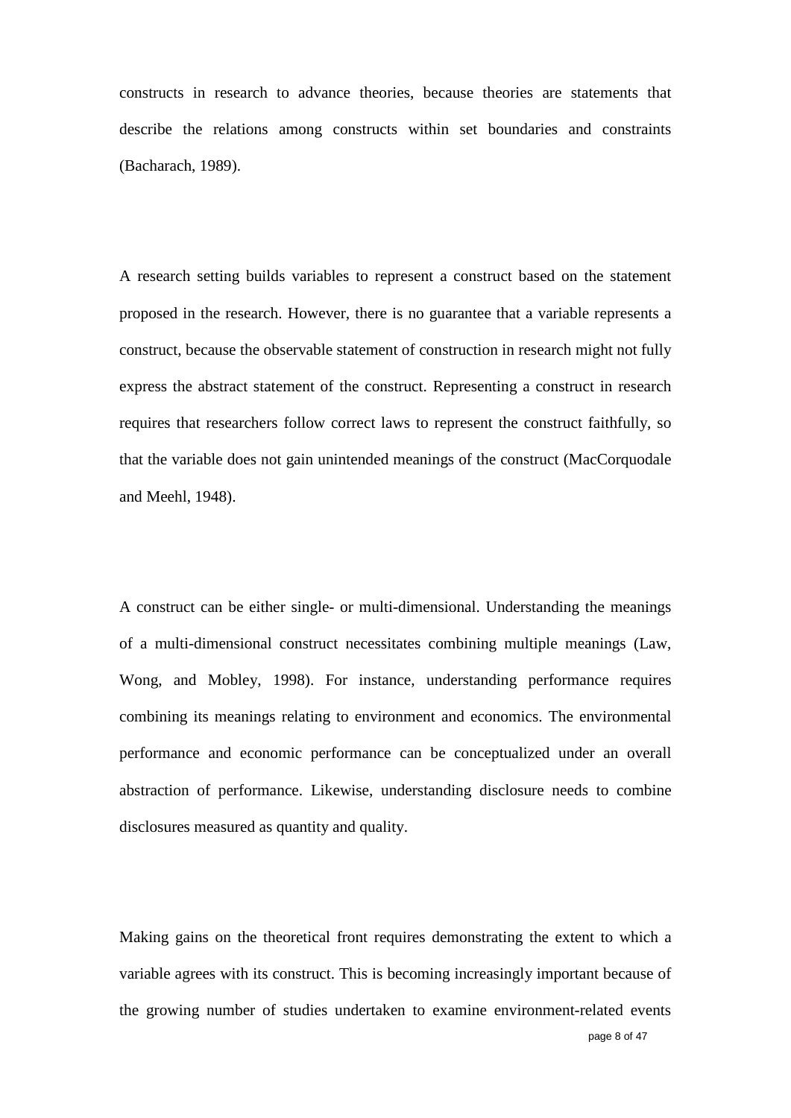constructs in research to advance theories, because theories are statements that describe the relations among constructs within set boundaries and constraints (Bacharach, 1989).

A research setting builds variables to represent a construct based on the statement proposed in the research. However, there is no guarantee that a variable represents a construct, because the observable statement of construction in research might not fully express the abstract statement of the construct. Representing a construct in research requires that researchers follow correct laws to represent the construct faithfully, so that the variable does not gain unintended meanings of the construct (MacCorquodale and Meehl, 1948).

A construct can be either single- or multi-dimensional. Understanding the meanings of a multi-dimensional construct necessitates combining multiple meanings (Law, Wong, and Mobley, 1998). For instance, understanding performance requires combining its meanings relating to environment and economics. The environmental performance and economic performance can be conceptualized under an overall abstraction of performance. Likewise, understanding disclosure needs to combine disclosures measured as quantity and quality.

Making gains on the theoretical front requires demonstrating the extent to which a variable agrees with its construct. This is becoming increasingly important because of the growing number of studies undertaken to examine environment-related events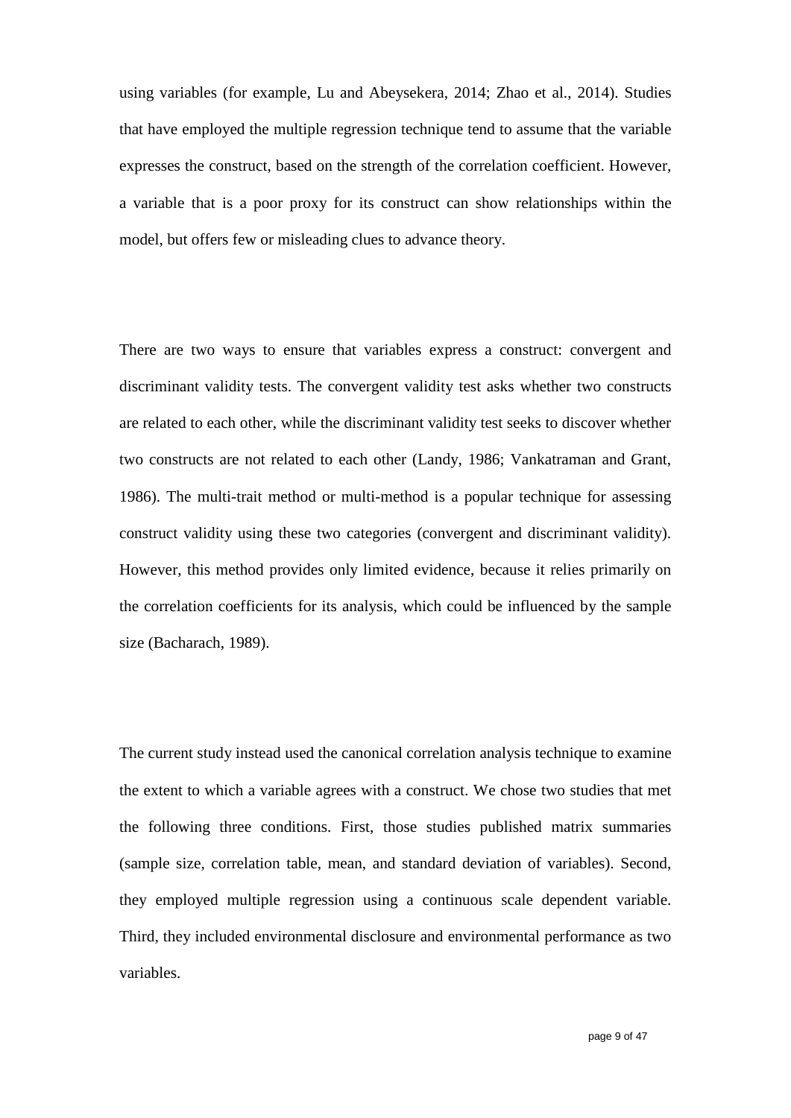using variables (for example, Lu and Abeysekera, 2014; Zhao et al., 2014). Studies that have employed the multiple regression technique tend to assume that the variable expresses the construct, based on the strength of the correlation coefficient. However, a variable that is a poor proxy for its construct can show relationships within the model, but offers few or misleading clues to advance theory.

There are two ways to ensure that variables express a construct: convergent and discriminant validity tests. The convergent validity test asks whether two constructs are related to each other, while the discriminant validity test seeks to discover whether two constructs are not related to each other (Landy, 1986; Vankatraman and Grant, 1986). The multi-trait method or multi-method is a popular technique for assessing construct validity using these two categories (convergent and discriminant validity). However, this method provides only limited evidence, because it relies primarily on the correlation coefficients for its analysis, which could be influenced by the sample size (Bacharach, 1989).

The current study instead used the canonical correlation analysis technique to examine the extent to which a variable agrees with a construct. We chose two studies that met the following three conditions. First, those studies published matrix summaries (sample size, correlation table, mean, and standard deviation of variables). Second, they employed multiple regression using a continuous scale dependent variable. Third, they included environmental disclosure and environmental performance as two variables.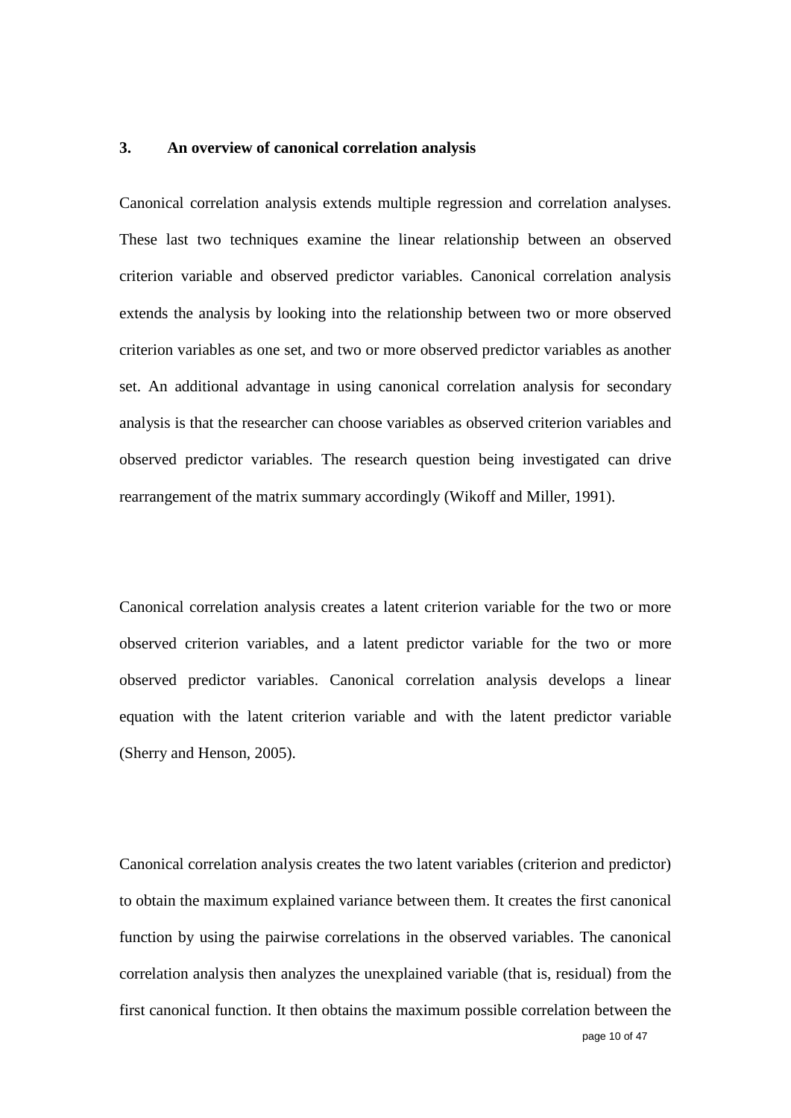### **3. An overview of canonical correlation analysis**

Canonical correlation analysis extends multiple regression and correlation analyses. These last two techniques examine the linear relationship between an observed criterion variable and observed predictor variables. Canonical correlation analysis extends the analysis by looking into the relationship between two or more observed criterion variables as one set, and two or more observed predictor variables as another set. An additional advantage in using canonical correlation analysis for secondary analysis is that the researcher can choose variables as observed criterion variables and observed predictor variables. The research question being investigated can drive rearrangement of the matrix summary accordingly (Wikoff and Miller, 1991).

Canonical correlation analysis creates a latent criterion variable for the two or more observed criterion variables, and a latent predictor variable for the two or more observed predictor variables. Canonical correlation analysis develops a linear equation with the latent criterion variable and with the latent predictor variable (Sherry and Henson, 2005).

Canonical correlation analysis creates the two latent variables (criterion and predictor) to obtain the maximum explained variance between them. It creates the first canonical function by using the pairwise correlations in the observed variables. The canonical correlation analysis then analyzes the unexplained variable (that is, residual) from the first canonical function. It then obtains the maximum possible correlation between the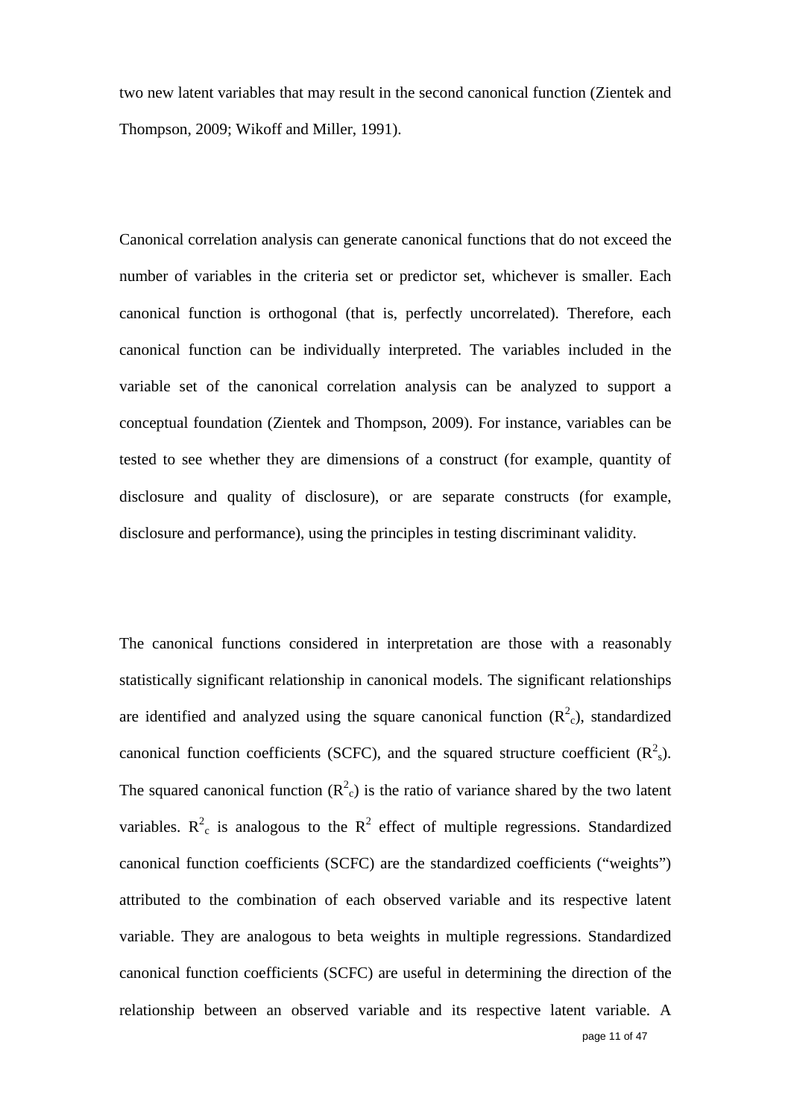two new latent variables that may result in the second canonical function (Zientek and Thompson, 2009; Wikoff and Miller, 1991).

Canonical correlation analysis can generate canonical functions that do not exceed the number of variables in the criteria set or predictor set, whichever is smaller. Each canonical function is orthogonal (that is, perfectly uncorrelated). Therefore, each canonical function can be individually interpreted. The variables included in the variable set of the canonical correlation analysis can be analyzed to support a conceptual foundation (Zientek and Thompson, 2009). For instance, variables can be tested to see whether they are dimensions of a construct (for example, quantity of disclosure and quality of disclosure), or are separate constructs (for example, disclosure and performance), using the principles in testing discriminant validity.

page 11 of 47 The canonical functions considered in interpretation are those with a reasonably statistically significant relationship in canonical models. The significant relationships are identified and analyzed using the square canonical function  $(R<sup>2</sup><sub>c</sub>)$ , standardized canonical function coefficients (SCFC), and the squared structure coefficient  $(R<sup>2</sup><sub>s</sub>)$ . The squared canonical function  $(R^2_C)$  is the ratio of variance shared by the two latent variables.  $R^2$ <sub>c</sub> is analogous to the  $R^2$  effect of multiple regressions. Standardized canonical function coefficients (SCFC) are the standardized coefficients ("weights") attributed to the combination of each observed variable and its respective latent variable. They are analogous to beta weights in multiple regressions. Standardized canonical function coefficients (SCFC) are useful in determining the direction of the relationship between an observed variable and its respective latent variable. A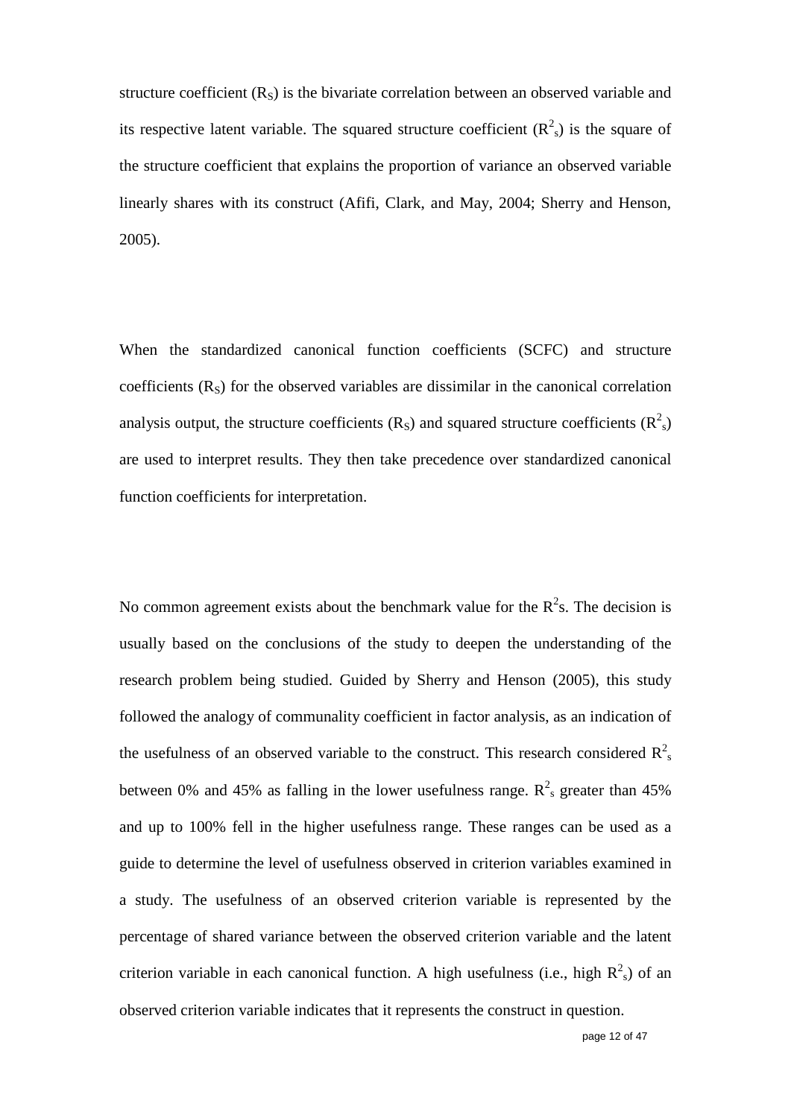structure coefficient  $(R<sub>S</sub>)$  is the bivariate correlation between an observed variable and its respective latent variable. The squared structure coefficient  $(R<sup>2</sup><sub>s</sub>)$  is the square of the structure coefficient that explains the proportion of variance an observed variable linearly shares with its construct (Afifi, Clark, and May, 2004; Sherry and Henson, 2005).

When the standardized canonical function coefficients (SCFC) and structure coefficients  $(R<sub>s</sub>)$  for the observed variables are dissimilar in the canonical correlation analysis output, the structure coefficients  $(R<sub>S</sub>)$  and squared structure coefficients  $(R<sup>2</sup><sub>s</sub>)$ are used to interpret results. They then take precedence over standardized canonical function coefficients for interpretation.

No common agreement exists about the benchmark value for the  $R<sup>2</sup>$ s. The decision is usually based on the conclusions of the study to deepen the understanding of the research problem being studied. Guided by Sherry and Henson (2005), this study followed the analogy of communality coefficient in factor analysis, as an indication of the usefulness of an observed variable to the construct. This research considered  $R_{s}^{2}$ between 0% and 45% as falling in the lower usefulness range.  $R^2$ <sub>s</sub> greater than 45% and up to 100% fell in the higher usefulness range. These ranges can be used as a guide to determine the level of usefulness observed in criterion variables examined in a study. The usefulness of an observed criterion variable is represented by the percentage of shared variance between the observed criterion variable and the latent criterion variable in each canonical function. A high usefulness (i.e., high  $R^2$ <sub>s</sub>) of an observed criterion variable indicates that it represents the construct in question.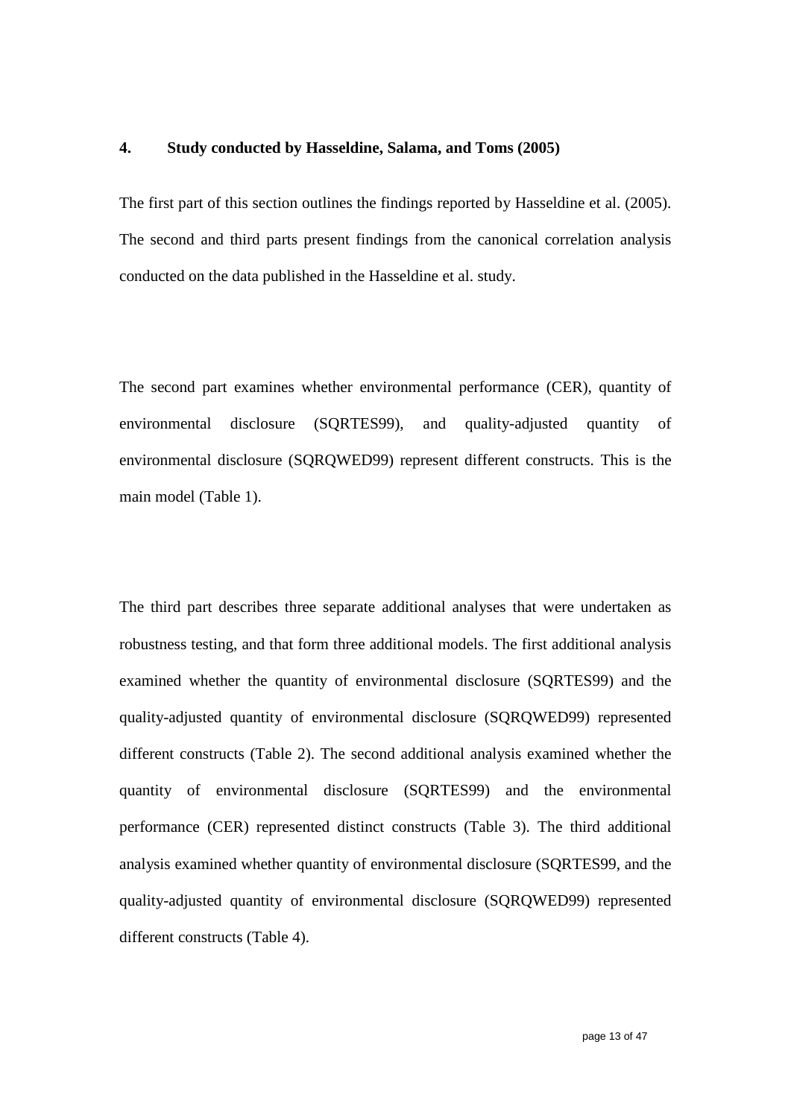#### **4. Study conducted by Hasseldine, Salama, and Toms (2005)**

The first part of this section outlines the findings reported by Hasseldine et al. (2005). The second and third parts present findings from the canonical correlation analysis conducted on the data published in the Hasseldine et al. study.

The second part examines whether environmental performance (CER), quantity of environmental disclosure (SQRTES99), and quality-adjusted quantity of environmental disclosure (SQRQWED99) represent different constructs. This is the main model (Table 1).

The third part describes three separate additional analyses that were undertaken as robustness testing, and that form three additional models. The first additional analysis examined whether the quantity of environmental disclosure (SQRTES99) and the quality-adjusted quantity of environmental disclosure (SQRQWED99) represented different constructs (Table 2). The second additional analysis examined whether the quantity of environmental disclosure (SQRTES99) and the environmental performance (CER) represented distinct constructs (Table 3). The third additional analysis examined whether quantity of environmental disclosure (SQRTES99, and the quality-adjusted quantity of environmental disclosure (SQRQWED99) represented different constructs (Table 4).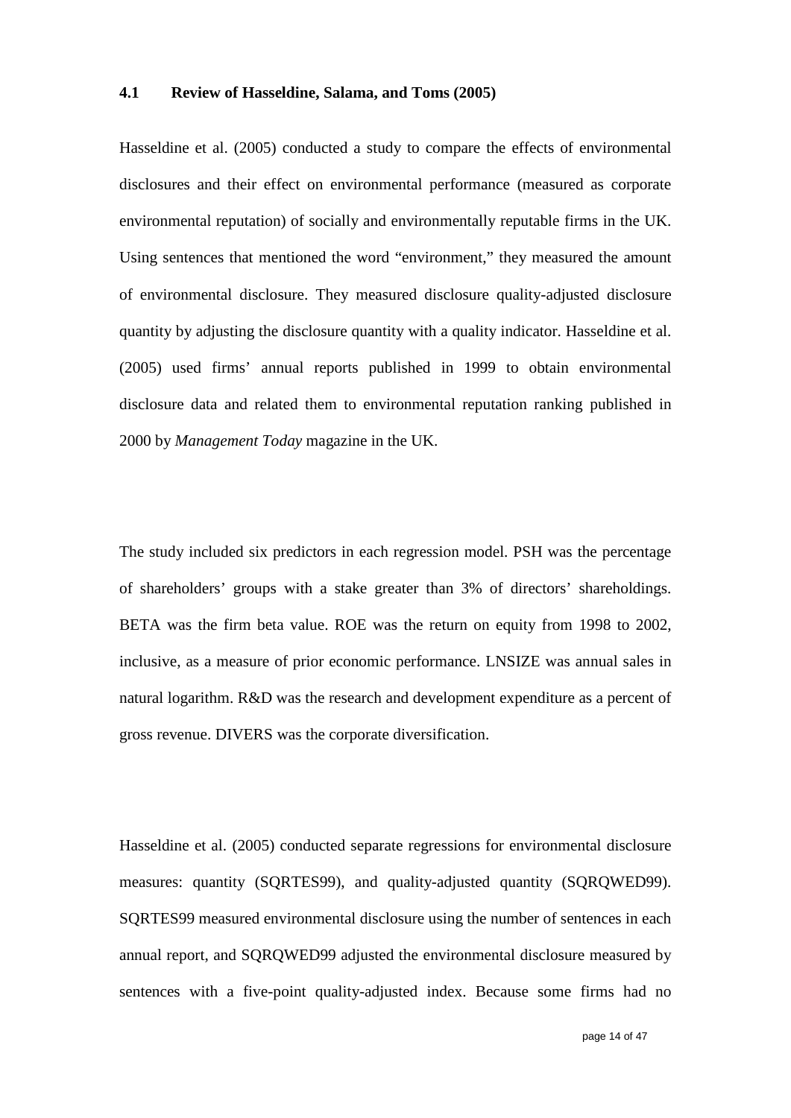#### **4.1 Review of Hasseldine, Salama, and Toms (2005)**

Hasseldine et al. (2005) conducted a study to compare the effects of environmental disclosures and their effect on environmental performance (measured as corporate environmental reputation) of socially and environmentally reputable firms in the UK. Using sentences that mentioned the word "environment," they measured the amount of environmental disclosure. They measured disclosure quality-adjusted disclosure quantity by adjusting the disclosure quantity with a quality indicator. Hasseldine et al. (2005) used firms' annual reports published in 1999 to obtain environmental disclosure data and related them to environmental reputation ranking published in 2000 by *Management Today* magazine in the UK.

The study included six predictors in each regression model. PSH was the percentage of shareholders' groups with a stake greater than 3% of directors' shareholdings. BETA was the firm beta value. ROE was the return on equity from 1998 to 2002, inclusive, as a measure of prior economic performance. LNSIZE was annual sales in natural logarithm. R&D was the research and development expenditure as a percent of gross revenue. DIVERS was the corporate diversification.

Hasseldine et al. (2005) conducted separate regressions for environmental disclosure measures: quantity (SQRTES99), and quality-adjusted quantity (SQRQWED99). SQRTES99 measured environmental disclosure using the number of sentences in each annual report, and SQRQWED99 adjusted the environmental disclosure measured by sentences with a five-point quality-adjusted index. Because some firms had no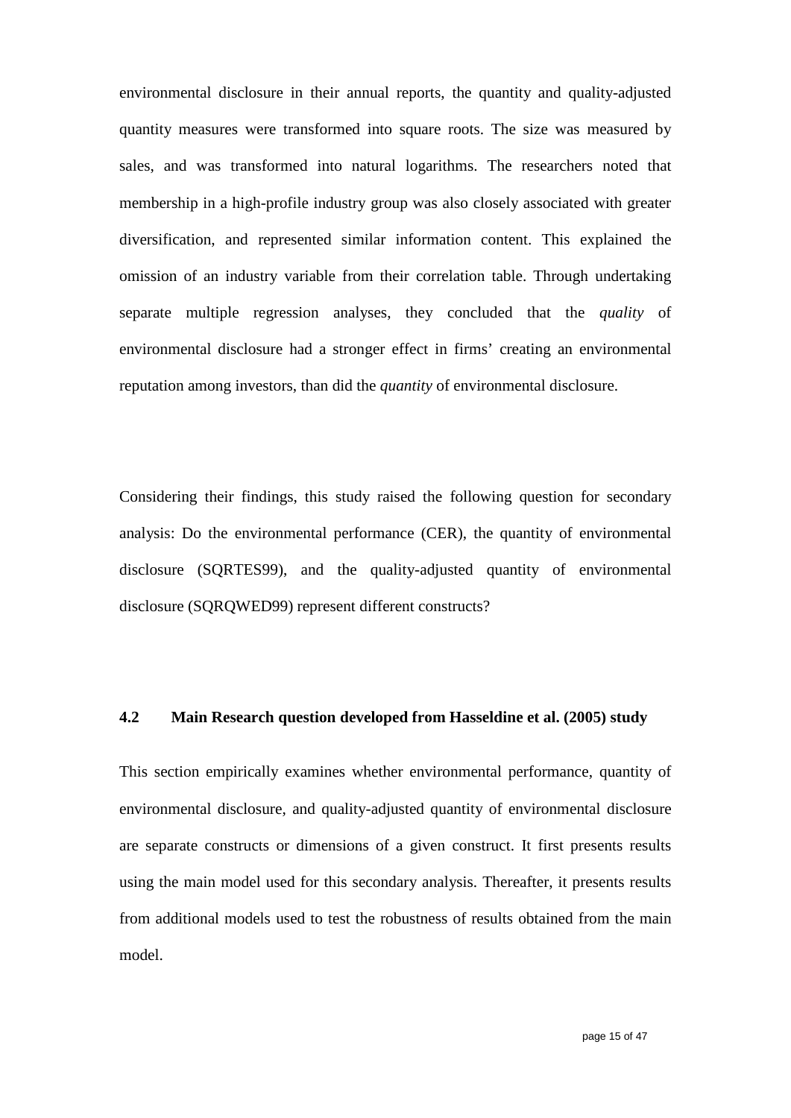environmental disclosure in their annual reports, the quantity and quality-adjusted quantity measures were transformed into square roots. The size was measured by sales, and was transformed into natural logarithms. The researchers noted that membership in a high-profile industry group was also closely associated with greater diversification, and represented similar information content. This explained the omission of an industry variable from their correlation table. Through undertaking separate multiple regression analyses, they concluded that the *quality* of environmental disclosure had a stronger effect in firms' creating an environmental reputation among investors, than did the *quantity* of environmental disclosure.

Considering their findings, this study raised the following question for secondary analysis: Do the environmental performance (CER), the quantity of environmental disclosure (SQRTES99), and the quality-adjusted quantity of environmental disclosure (SQRQWED99) represent different constructs?

#### **4.2 Main Research question developed from Hasseldine et al. (2005) study**

This section empirically examines whether environmental performance, quantity of environmental disclosure, and quality-adjusted quantity of environmental disclosure are separate constructs or dimensions of a given construct. It first presents results using the main model used for this secondary analysis. Thereafter, it presents results from additional models used to test the robustness of results obtained from the main model.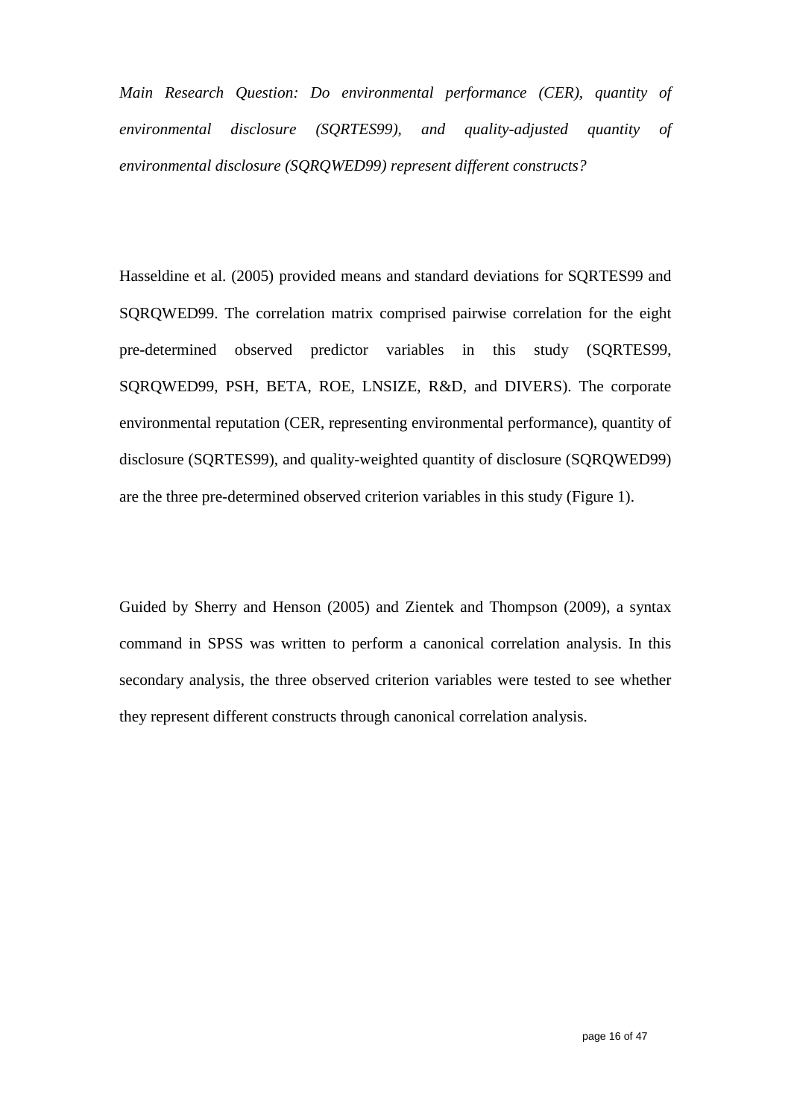*Main Research Question: Do environmental performance (CER), quantity of environmental disclosure (SQRTES99), and quality-adjusted quantity of environmental disclosure (SQRQWED99) represent different constructs?*

Hasseldine et al. (2005) provided means and standard deviations for SQRTES99 and SQRQWED99. The correlation matrix comprised pairwise correlation for the eight pre-determined observed predictor variables in this study (SQRTES99, SQRQWED99, PSH, BETA, ROE, LNSIZE, R&D, and DIVERS). The corporate environmental reputation (CER, representing environmental performance), quantity of disclosure (SQRTES99), and quality-weighted quantity of disclosure (SQRQWED99) are the three pre-determined observed criterion variables in this study (Figure 1).

Guided by Sherry and Henson (2005) and Zientek and Thompson (2009), a syntax command in SPSS was written to perform a canonical correlation analysis. In this secondary analysis, the three observed criterion variables were tested to see whether they represent different constructs through canonical correlation analysis.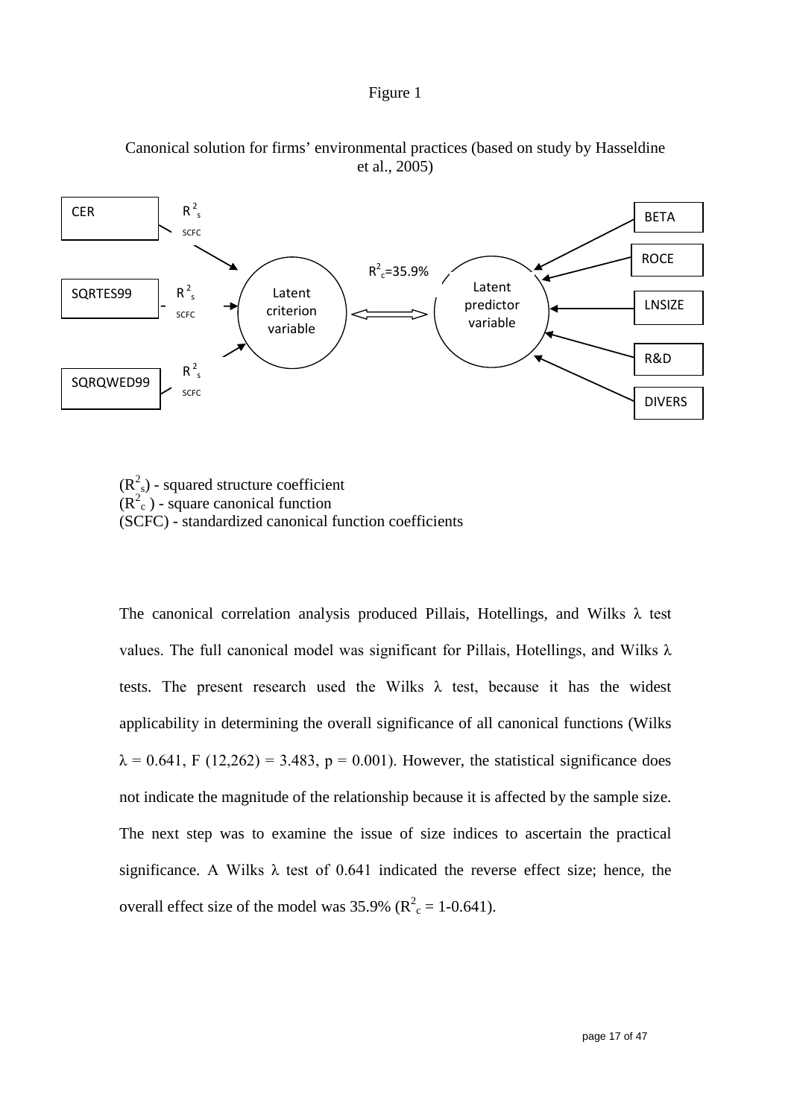





 $(R<sup>2</sup><sub>s</sub>)$  - squared structure coefficient  $(R<sup>2</sup><sub>c</sub>)$  - square canonical function (SCFC) - standardized canonical function coefficients

The canonical correlation analysis produced Pillais, Hotellings, and Wilks λ test values. The full canonical model was significant for Pillais, Hotellings, and Wilks  $\lambda$ tests. The present research used the Wilks  $\lambda$  test, because it has the widest applicability in determining the overall significance of all canonical functions (Wilks  $\lambda = 0.641$ , F (12,262) = 3.483, p = 0.001). However, the statistical significance does not indicate the magnitude of the relationship because it is affected by the sample size. The next step was to examine the issue of size indices to ascertain the practical significance. A Wilks  $\lambda$  test of 0.641 indicated the reverse effect size; hence, the overall effect size of the model was  $35.9\%$  ( $R^2 = 1-0.641$ ).

page 17 of 47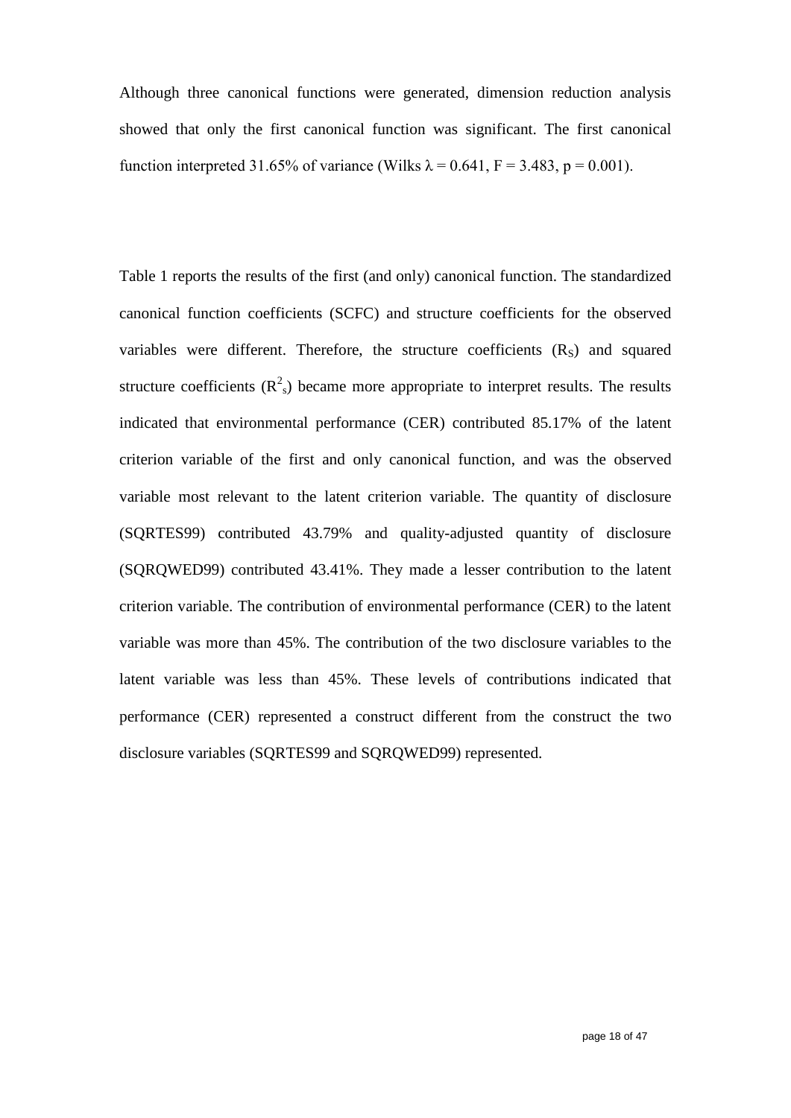Although three canonical functions were generated, dimension reduction analysis showed that only the first canonical function was significant. The first canonical function interpreted 31.65% of variance (Wilks  $\lambda = 0.641$ , F = 3.483, p = 0.001).

Table 1 reports the results of the first (and only) canonical function. The standardized canonical function coefficients (SCFC) and structure coefficients for the observed variables were different. Therefore, the structure coefficients  $(R<sub>S</sub>)$  and squared structure coefficients  $(R^2)$  became more appropriate to interpret results. The results indicated that environmental performance (CER) contributed 85.17% of the latent criterion variable of the first and only canonical function, and was the observed variable most relevant to the latent criterion variable. The quantity of disclosure (SQRTES99) contributed 43.79% and quality-adjusted quantity of disclosure (SQRQWED99) contributed 43.41%. They made a lesser contribution to the latent criterion variable. The contribution of environmental performance (CER) to the latent variable was more than 45%. The contribution of the two disclosure variables to the latent variable was less than 45%. These levels of contributions indicated that performance (CER) represented a construct different from the construct the two disclosure variables (SQRTES99 and SQRQWED99) represented.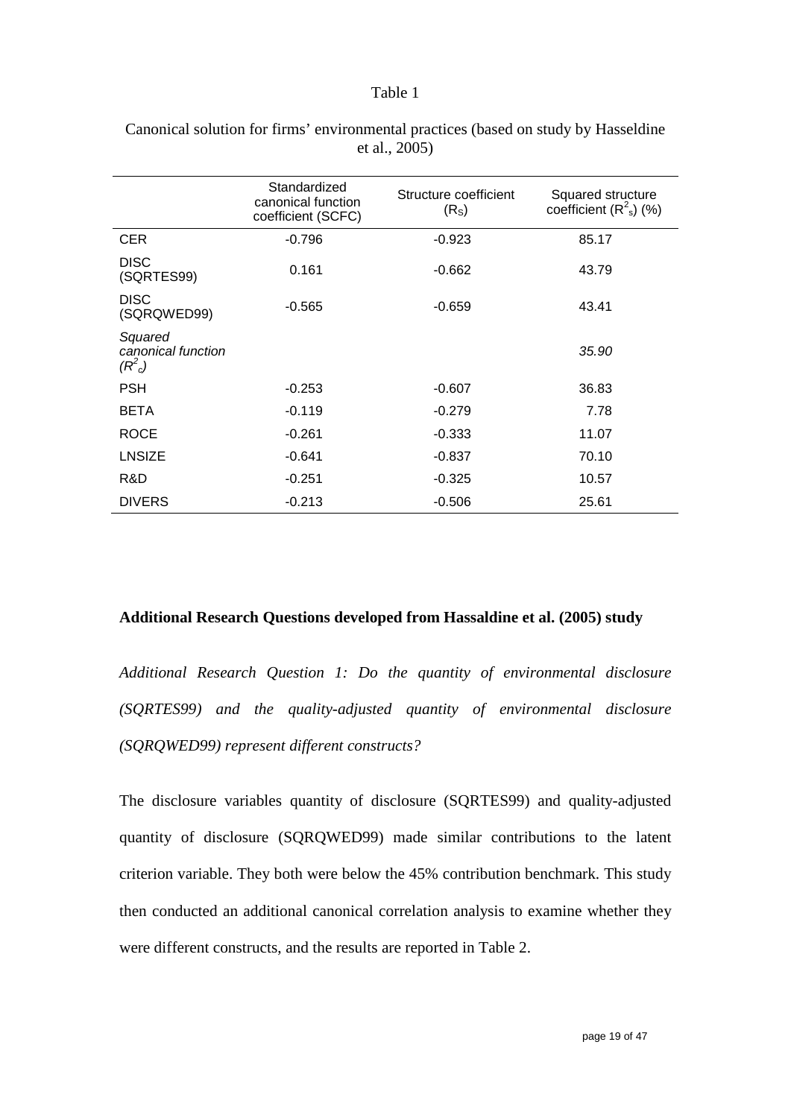#### Table 1

|                                              | Standardized<br>canonical function<br>coefficient (SCFC) | Structure coefficient<br>(R <sub>S</sub> ) | Squared structure<br>coefficient $(R^2_s)$ (%) |
|----------------------------------------------|----------------------------------------------------------|--------------------------------------------|------------------------------------------------|
| <b>CER</b>                                   | $-0.796$                                                 | $-0.923$                                   | 85.17                                          |
| <b>DISC</b><br>(SQRTES99)                    | 0.161                                                    | $-0.662$                                   | 43.79                                          |
| <b>DISC</b><br>(SQRQWED99)                   | $-0.565$                                                 | $-0.659$                                   | 43.41                                          |
| Squared<br>canonical function<br>$(R^2_{c})$ |                                                          |                                            | 35.90                                          |
| <b>PSH</b>                                   | $-0.253$                                                 | $-0.607$                                   | 36.83                                          |
| <b>BETA</b>                                  | $-0.119$                                                 | $-0.279$                                   | 7.78                                           |
| <b>ROCE</b>                                  | $-0.261$                                                 | $-0.333$                                   | 11.07                                          |
| LNSIZE                                       | $-0.641$                                                 | $-0.837$                                   | 70.10                                          |
| R&D                                          | $-0.251$                                                 | $-0.325$                                   | 10.57                                          |
| <b>DIVERS</b>                                | $-0.213$                                                 | $-0.506$                                   | 25.61                                          |

Canonical solution for firms' environmental practices (based on study by Hasseldine et al., 2005)

### **Additional Research Questions developed from Hassaldine et al. (2005) study**

*Additional Research Question 1: Do the quantity of environmental disclosure (SQRTES99) and the quality-adjusted quantity of environmental disclosure (SQRQWED99) represent different constructs?*

The disclosure variables quantity of disclosure (SQRTES99) and quality-adjusted quantity of disclosure (SQRQWED99) made similar contributions to the latent criterion variable. They both were below the 45% contribution benchmark. This study then conducted an additional canonical correlation analysis to examine whether they were different constructs, and the results are reported in Table 2.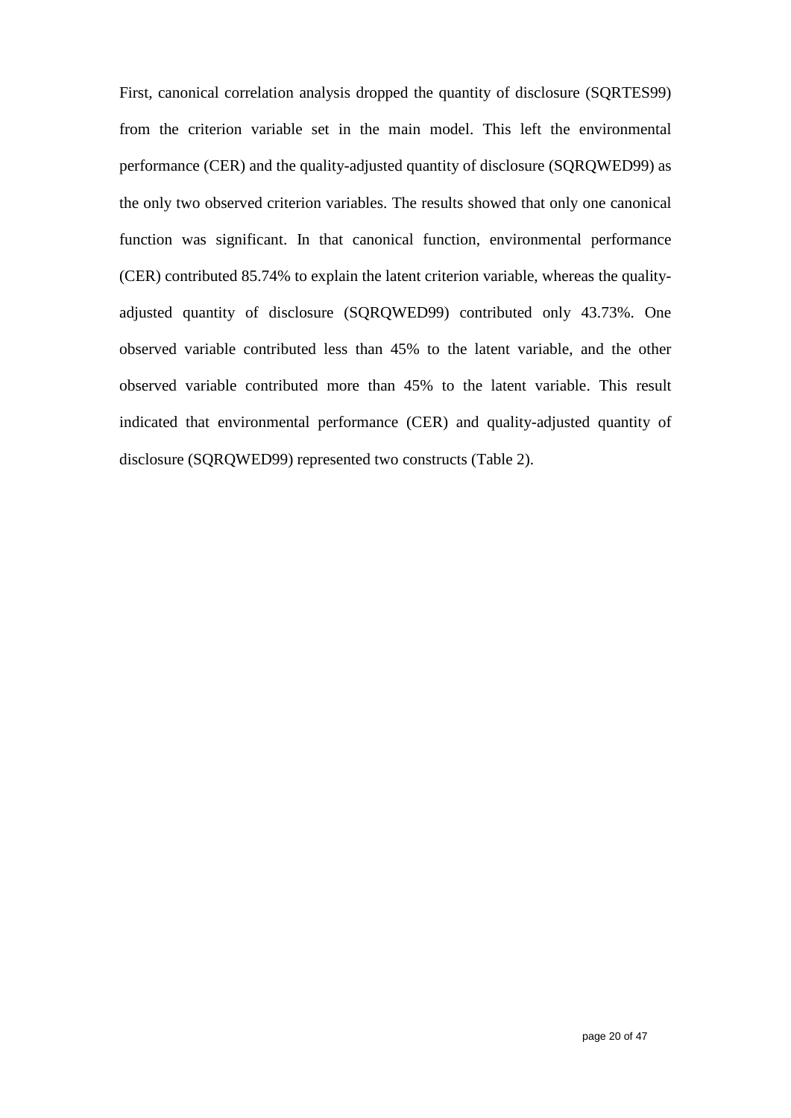First, canonical correlation analysis dropped the quantity of disclosure (SQRTES99) from the criterion variable set in the main model. This left the environmental performance (CER) and the quality-adjusted quantity of disclosure (SQRQWED99) as the only two observed criterion variables. The results showed that only one canonical function was significant. In that canonical function, environmental performance (CER) contributed 85.74% to explain the latent criterion variable, whereas the qualityadjusted quantity of disclosure (SQRQWED99) contributed only 43.73%. One observed variable contributed less than 45% to the latent variable, and the other observed variable contributed more than 45% to the latent variable. This result indicated that environmental performance (CER) and quality-adjusted quantity of disclosure (SQRQWED99) represented two constructs (Table 2).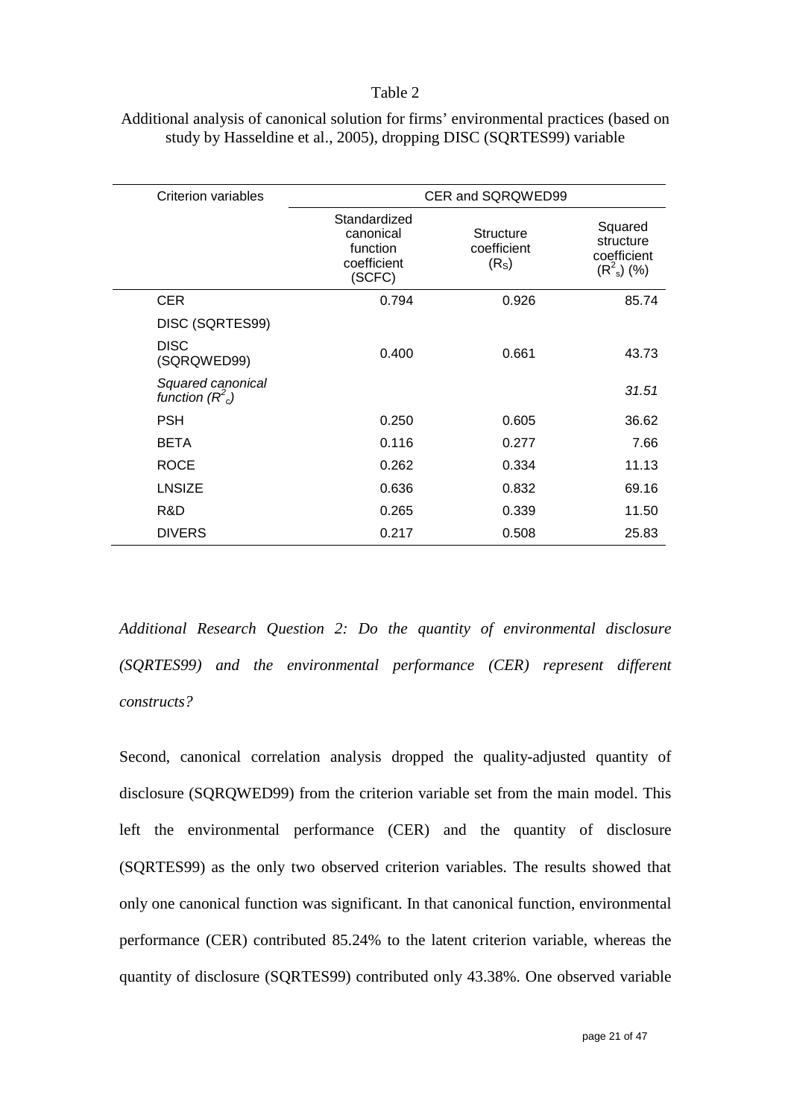#### Table 2

| <b>Criterion variables</b>            | CER and SQRQWED99                                              |                                                      |                                                      |
|---------------------------------------|----------------------------------------------------------------|------------------------------------------------------|------------------------------------------------------|
|                                       | Standardized<br>canonical<br>function<br>coefficient<br>(SCFC) | <b>Structure</b><br>coefficient<br>(R <sub>S</sub> ) | Squared<br>structure<br>coefficient<br>$(R^2_s)$ (%) |
| <b>CER</b>                            | 0.794                                                          | 0.926                                                | 85.74                                                |
| DISC (SQRTES99)                       |                                                                |                                                      |                                                      |
| <b>DISC</b><br>(SQRQWED99)            | 0.400                                                          | 0.661                                                | 43.73                                                |
| Squared canonical<br>function $(R2c)$ |                                                                |                                                      | 31.51                                                |
| <b>PSH</b>                            | 0.250                                                          | 0.605                                                | 36.62                                                |
| <b>BETA</b>                           | 0.116                                                          | 0.277                                                | 7.66                                                 |
| <b>ROCE</b>                           | 0.262                                                          | 0.334                                                | 11.13                                                |
| <b>LNSIZE</b>                         | 0.636                                                          | 0.832                                                | 69.16                                                |
| R&D                                   | 0.265                                                          | 0.339                                                | 11.50                                                |
| <b>DIVERS</b>                         | 0.217                                                          | 0.508                                                | 25.83                                                |

Additional analysis of canonical solution for firms' environmental practices (based on study by Hasseldine et al., 2005), dropping DISC (SQRTES99) variable

*Additional Research Question 2: Do the quantity of environmental disclosure (SQRTES99) and the environmental performance (CER) represent different constructs?*

Second, canonical correlation analysis dropped the quality-adjusted quantity of disclosure (SQRQWED99) from the criterion variable set from the main model. This left the environmental performance (CER) and the quantity of disclosure (SQRTES99) as the only two observed criterion variables. The results showed that only one canonical function was significant. In that canonical function, environmental performance (CER) contributed 85.24% to the latent criterion variable, whereas the quantity of disclosure (SQRTES99) contributed only 43.38%. One observed variable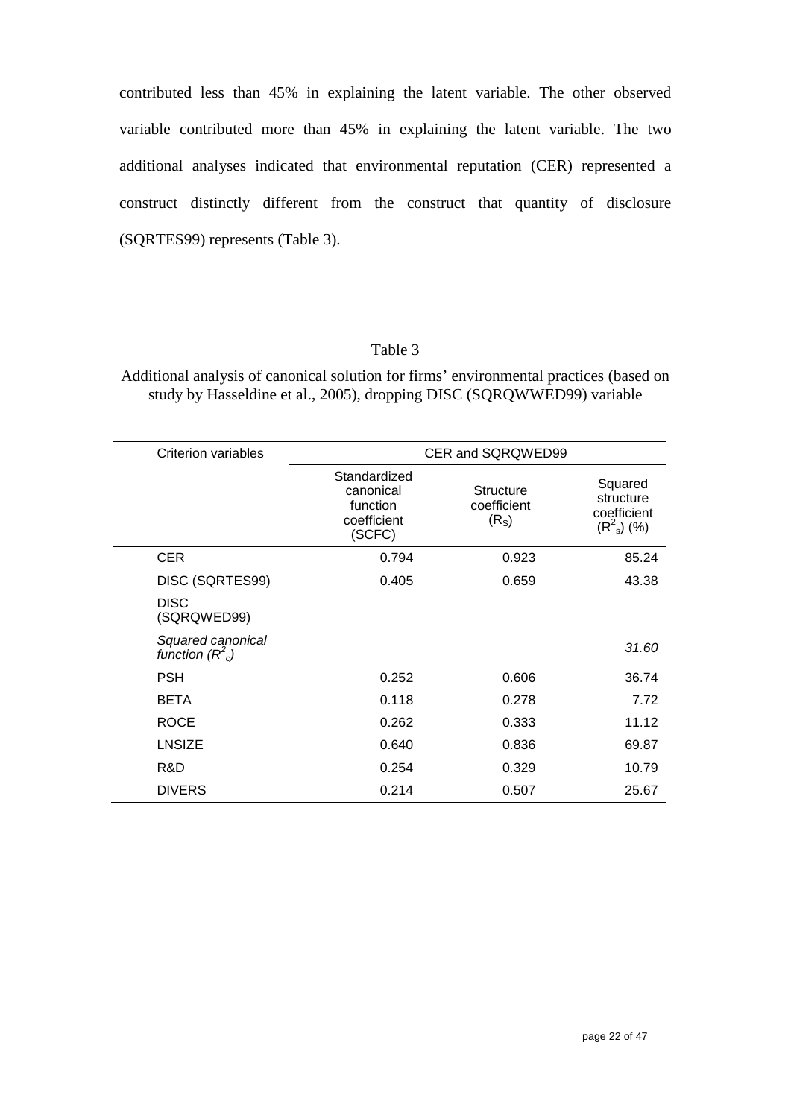contributed less than 45% in explaining the latent variable. The other observed variable contributed more than 45% in explaining the latent variable. The two additional analyses indicated that environmental reputation (CER) represented a construct distinctly different from the construct that quantity of disclosure (SQRTES99) represents (Table 3).

### Table 3

Additional analysis of canonical solution for firms' environmental practices (based on study by Hasseldine et al., 2005), dropping DISC (SQRQWWED99) variable

| Criterion variables                     |                                                                | CER and SQRQWED99                                    |                                                        |
|-----------------------------------------|----------------------------------------------------------------|------------------------------------------------------|--------------------------------------------------------|
|                                         | Standardized<br>canonical<br>function<br>coefficient<br>(SCFC) | <b>Structure</b><br>coefficient<br>(R <sub>S</sub> ) | Squared<br>structure<br>coefficient<br>$(R^2_{s})$ (%) |
| <b>CER</b>                              | 0.794                                                          | 0.923                                                | 85.24                                                  |
| DISC (SQRTES99)                         | 0.405                                                          | 0.659                                                | 43.38                                                  |
| <b>DISC</b><br>(SQRQWED99)              |                                                                |                                                      |                                                        |
| Squared canonical<br>function $(R^2_c)$ |                                                                |                                                      | 31.60                                                  |
| <b>PSH</b>                              | 0.252                                                          | 0.606                                                | 36.74                                                  |
| <b>BETA</b>                             | 0.118                                                          | 0.278                                                | 7.72                                                   |
| <b>ROCE</b>                             | 0.262                                                          | 0.333                                                | 11.12                                                  |
| <b>LNSIZE</b>                           | 0.640                                                          | 0.836                                                | 69.87                                                  |
| R&D                                     | 0.254                                                          | 0.329                                                | 10.79                                                  |
| <b>DIVERS</b>                           | 0.214                                                          | 0.507                                                | 25.67                                                  |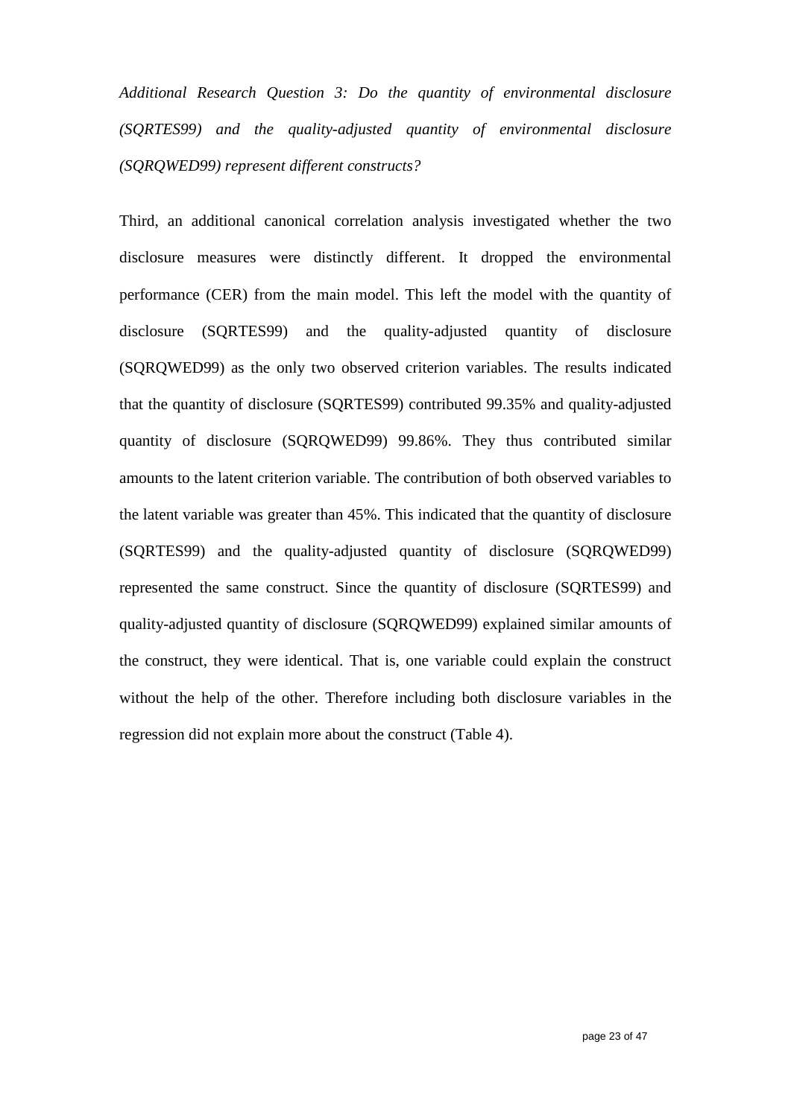*Additional Research Question 3: Do the quantity of environmental disclosure (SQRTES99) and the quality-adjusted quantity of environmental disclosure (SQRQWED99) represent different constructs?*

Third, an additional canonical correlation analysis investigated whether the two disclosure measures were distinctly different. It dropped the environmental performance (CER) from the main model. This left the model with the quantity of disclosure (SQRTES99) and the quality-adjusted quantity of disclosure (SQRQWED99) as the only two observed criterion variables. The results indicated that the quantity of disclosure (SQRTES99) contributed 99.35% and quality-adjusted quantity of disclosure (SQRQWED99) 99.86%. They thus contributed similar amounts to the latent criterion variable. The contribution of both observed variables to the latent variable was greater than 45%. This indicated that the quantity of disclosure (SQRTES99) and the quality-adjusted quantity of disclosure (SQRQWED99) represented the same construct. Since the quantity of disclosure (SQRTES99) and quality-adjusted quantity of disclosure (SQRQWED99) explained similar amounts of the construct, they were identical. That is, one variable could explain the construct without the help of the other. Therefore including both disclosure variables in the regression did not explain more about the construct (Table 4).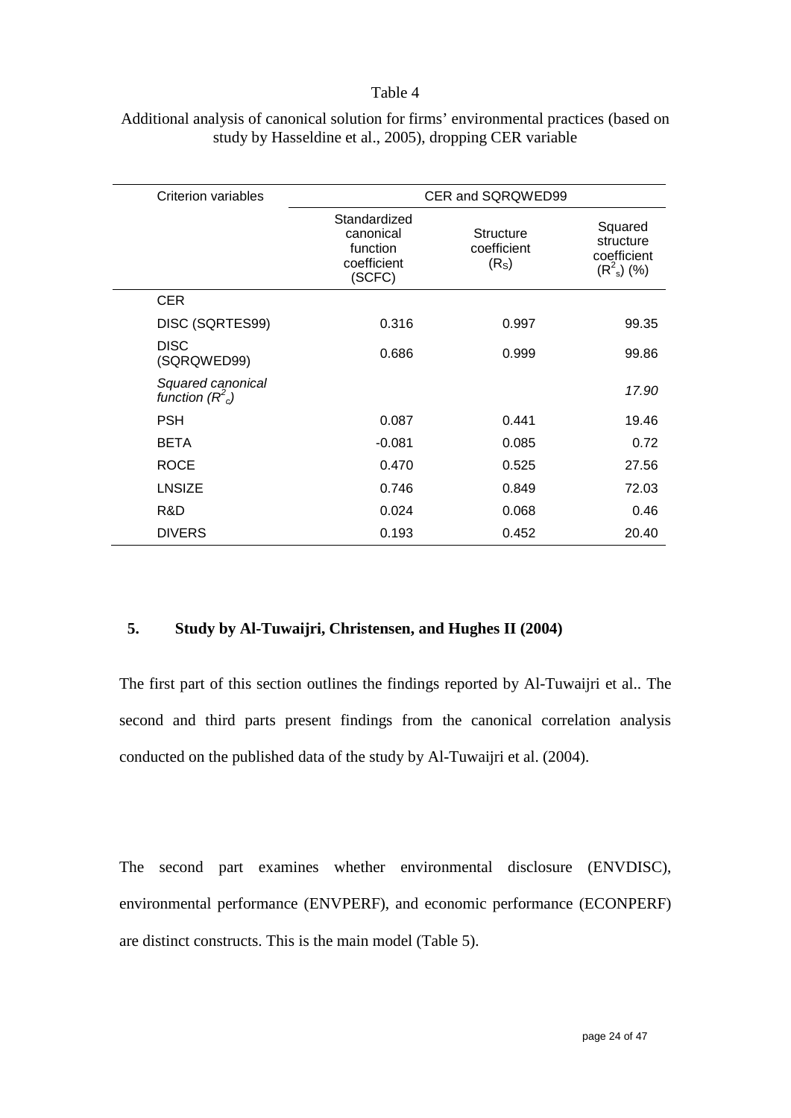#### Table 4

| <b>Criterion variables</b>            |                                                                | CER and SQRQWED99                                    |                                                        |
|---------------------------------------|----------------------------------------------------------------|------------------------------------------------------|--------------------------------------------------------|
|                                       | Standardized<br>canonical<br>function<br>coefficient<br>(SCFC) | <b>Structure</b><br>coefficient<br>(R <sub>S</sub> ) | Squared<br>structure<br>coefficient<br>$(R^2_{s})$ (%) |
| <b>CER</b>                            |                                                                |                                                      |                                                        |
| DISC (SQRTES99)                       | 0.316                                                          | 0.997                                                | 99.35                                                  |
| <b>DISC</b><br>(SQRQWED99)            | 0.686                                                          | 0.999                                                | 99.86                                                  |
| Squared canonical<br>function $(R2c)$ |                                                                |                                                      | 17.90                                                  |
| <b>PSH</b>                            | 0.087                                                          | 0.441                                                | 19.46                                                  |
| <b>BETA</b>                           | $-0.081$                                                       | 0.085                                                | 0.72                                                   |
| <b>ROCE</b>                           | 0.470                                                          | 0.525                                                | 27.56                                                  |
| <b>LNSIZE</b>                         | 0.746                                                          | 0.849                                                | 72.03                                                  |
| R&D                                   | 0.024                                                          | 0.068                                                | 0.46                                                   |
| <b>DIVERS</b>                         | 0.193                                                          | 0.452                                                | 20.40                                                  |

### Additional analysis of canonical solution for firms' environmental practices (based on study by Hasseldine et al., 2005), dropping CER variable

### **5. Study by Al-Tuwaijri, Christensen, and Hughes II (2004)**

The first part of this section outlines the findings reported by Al-Tuwaijri et al.. The second and third parts present findings from the canonical correlation analysis conducted on the published data of the study by Al-Tuwaijri et al. (2004).

The second part examines whether environmental disclosure (ENVDISC), environmental performance (ENVPERF), and economic performance (ECONPERF) are distinct constructs. This is the main model (Table 5).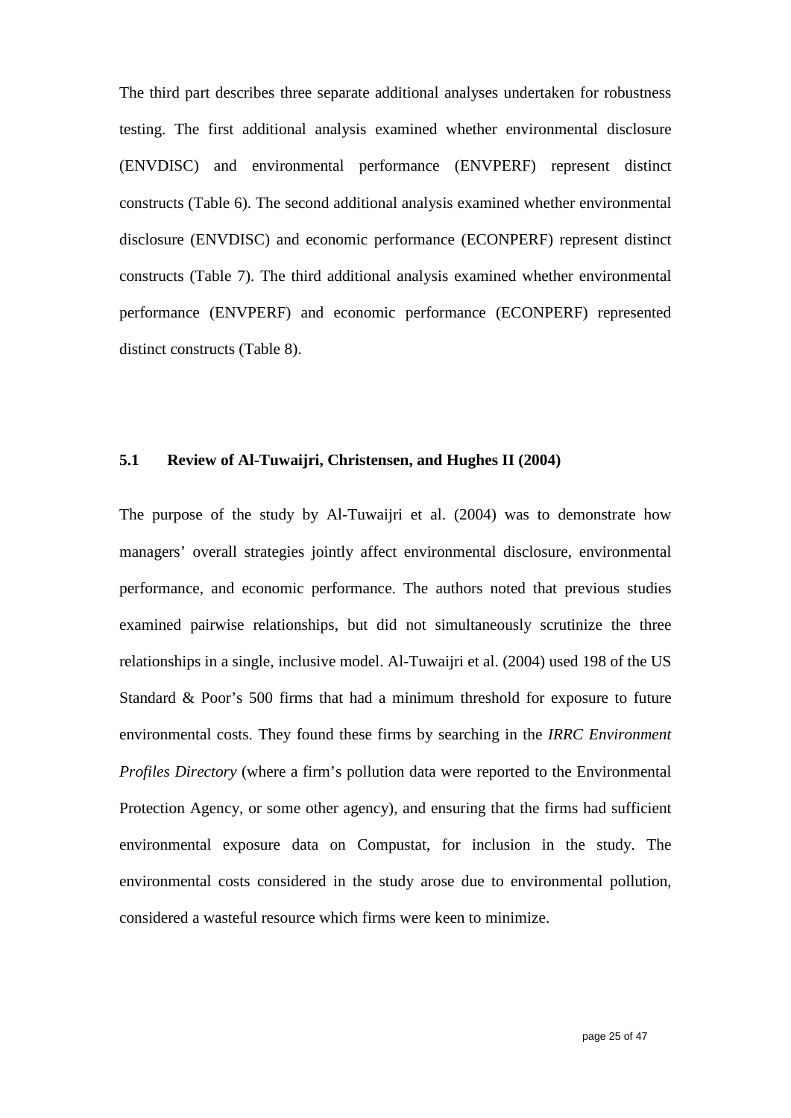The third part describes three separate additional analyses undertaken for robustness testing. The first additional analysis examined whether environmental disclosure (ENVDISC) and environmental performance (ENVPERF) represent distinct constructs (Table 6). The second additional analysis examined whether environmental disclosure (ENVDISC) and economic performance (ECONPERF) represent distinct constructs (Table 7). The third additional analysis examined whether environmental performance (ENVPERF) and economic performance (ECONPERF) represented distinct constructs (Table 8).

### **5.1 Review of Al-Tuwaijri, Christensen, and Hughes II (2004)**

The purpose of the study by Al-Tuwaijri et al. (2004) was to demonstrate how managers' overall strategies jointly affect environmental disclosure, environmental performance, and economic performance. The authors noted that previous studies examined pairwise relationships, but did not simultaneously scrutinize the three relationships in a single, inclusive model. Al-Tuwaijri et al. (2004) used 198 of the US Standard & Poor's 500 firms that had a minimum threshold for exposure to future environmental costs. They found these firms by searching in the *IRRC Environment Profiles Directory* (where a firm's pollution data were reported to the Environmental Protection Agency, or some other agency), and ensuring that the firms had sufficient environmental exposure data on Compustat, for inclusion in the study. The environmental costs considered in the study arose due to environmental pollution, considered a wasteful resource which firms were keen to minimize.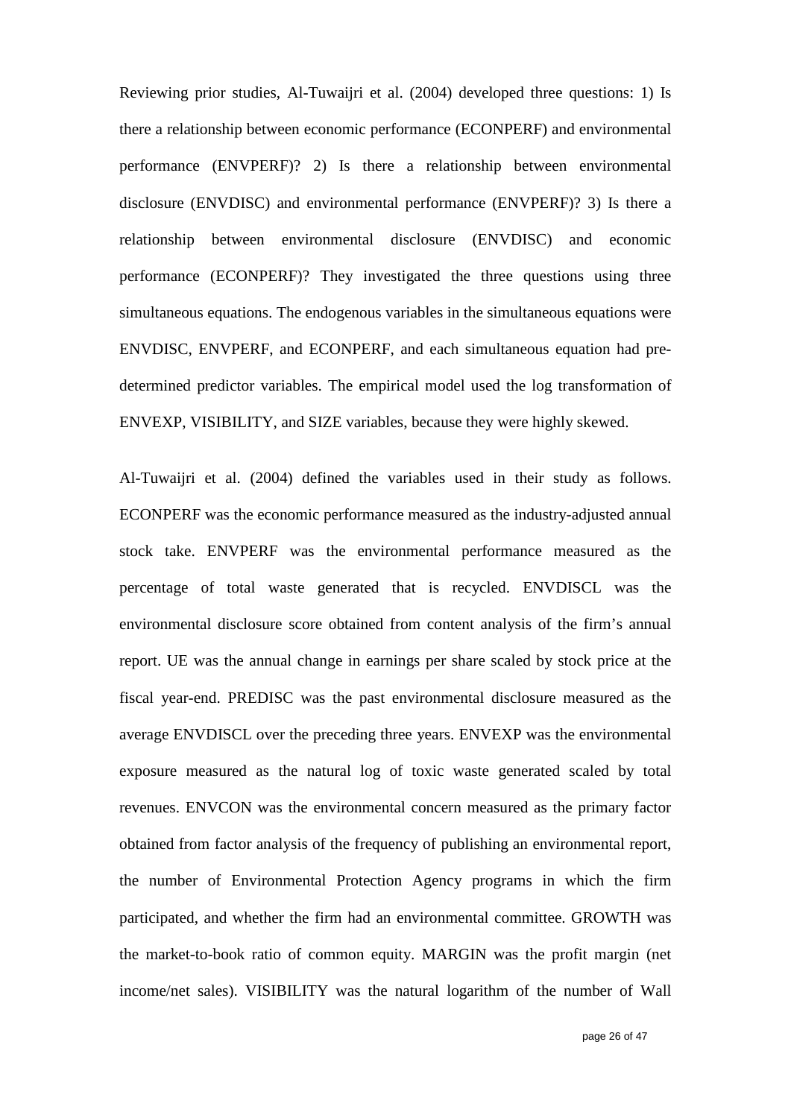Reviewing prior studies, Al-Tuwaijri et al. (2004) developed three questions: 1) Is there a relationship between economic performance (ECONPERF) and environmental performance (ENVPERF)? 2) Is there a relationship between environmental disclosure (ENVDISC) and environmental performance (ENVPERF)? 3) Is there a relationship between environmental disclosure (ENVDISC) and economic performance (ECONPERF)? They investigated the three questions using three simultaneous equations. The endogenous variables in the simultaneous equations were ENVDISC, ENVPERF, and ECONPERF, and each simultaneous equation had predetermined predictor variables. The empirical model used the log transformation of ENVEXP, VISIBILITY, and SIZE variables, because they were highly skewed.

Al-Tuwaijri et al. (2004) defined the variables used in their study as follows. ECONPERF was the economic performance measured as the industry-adjusted annual stock take. ENVPERF was the environmental performance measured as the percentage of total waste generated that is recycled. ENVDISCL was the environmental disclosure score obtained from content analysis of the firm's annual report. UE was the annual change in earnings per share scaled by stock price at the fiscal year-end. PREDISC was the past environmental disclosure measured as the average ENVDISCL over the preceding three years. ENVEXP was the environmental exposure measured as the natural log of toxic waste generated scaled by total revenues. ENVCON was the environmental concern measured as the primary factor obtained from factor analysis of the frequency of publishing an environmental report, the number of Environmental Protection Agency programs in which the firm participated, and whether the firm had an environmental committee. GROWTH was the market-to-book ratio of common equity. MARGIN was the profit margin (net income/net sales). VISIBILITY was the natural logarithm of the number of Wall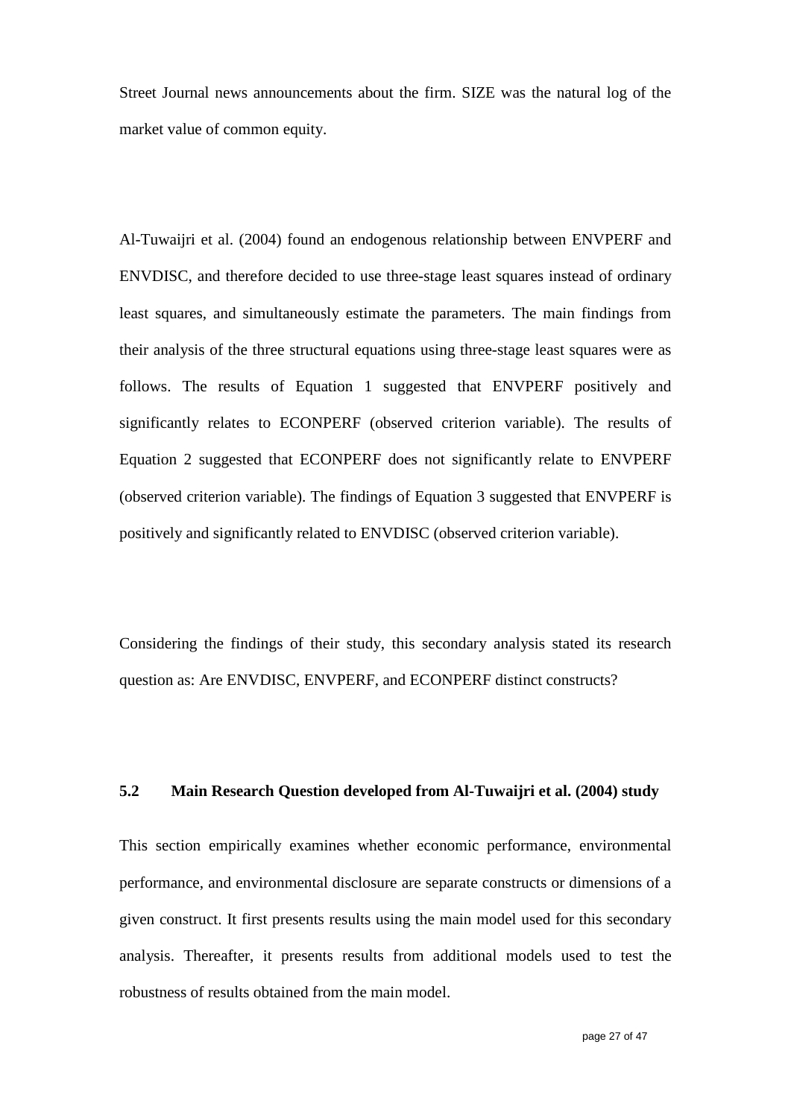Street Journal news announcements about the firm. SIZE was the natural log of the market value of common equity.

Al-Tuwaijri et al. (2004) found an endogenous relationship between ENVPERF and ENVDISC, and therefore decided to use three-stage least squares instead of ordinary least squares, and simultaneously estimate the parameters. The main findings from their analysis of the three structural equations using three-stage least squares were as follows. The results of Equation 1 suggested that ENVPERF positively and significantly relates to ECONPERF (observed criterion variable). The results of Equation 2 suggested that ECONPERF does not significantly relate to ENVPERF (observed criterion variable). The findings of Equation 3 suggested that ENVPERF is positively and significantly related to ENVDISC (observed criterion variable).

Considering the findings of their study, this secondary analysis stated its research question as: Are ENVDISC, ENVPERF, and ECONPERF distinct constructs?

## **5.2 Main Research Question developed from Al-Tuwaijri et al. (2004) study**

This section empirically examines whether economic performance, environmental performance, and environmental disclosure are separate constructs or dimensions of a given construct. It first presents results using the main model used for this secondary analysis. Thereafter, it presents results from additional models used to test the robustness of results obtained from the main model.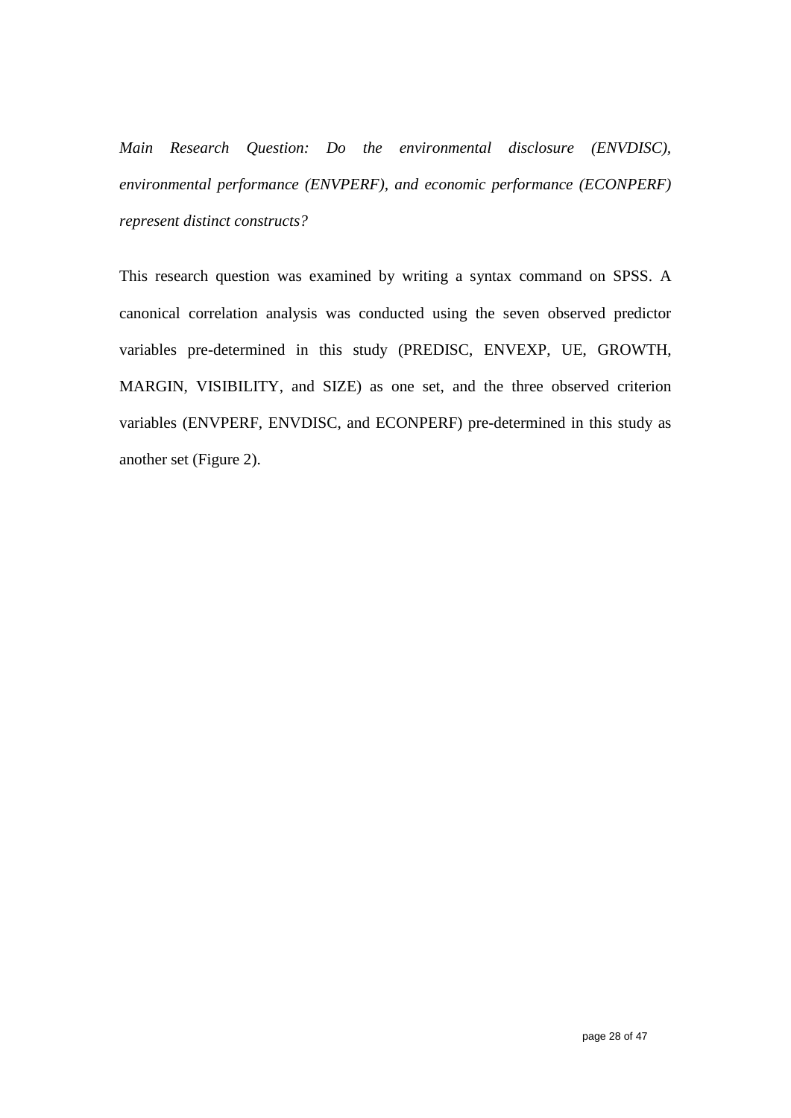*Main Research Question: Do the environmental disclosure (ENVDISC), environmental performance (ENVPERF), and economic performance (ECONPERF) represent distinct constructs?*

This research question was examined by writing a syntax command on SPSS. A canonical correlation analysis was conducted using the seven observed predictor variables pre-determined in this study (PREDISC, ENVEXP, UE, GROWTH, MARGIN, VISIBILITY, and SIZE) as one set, and the three observed criterion variables (ENVPERF, ENVDISC, and ECONPERF) pre-determined in this study as another set (Figure 2).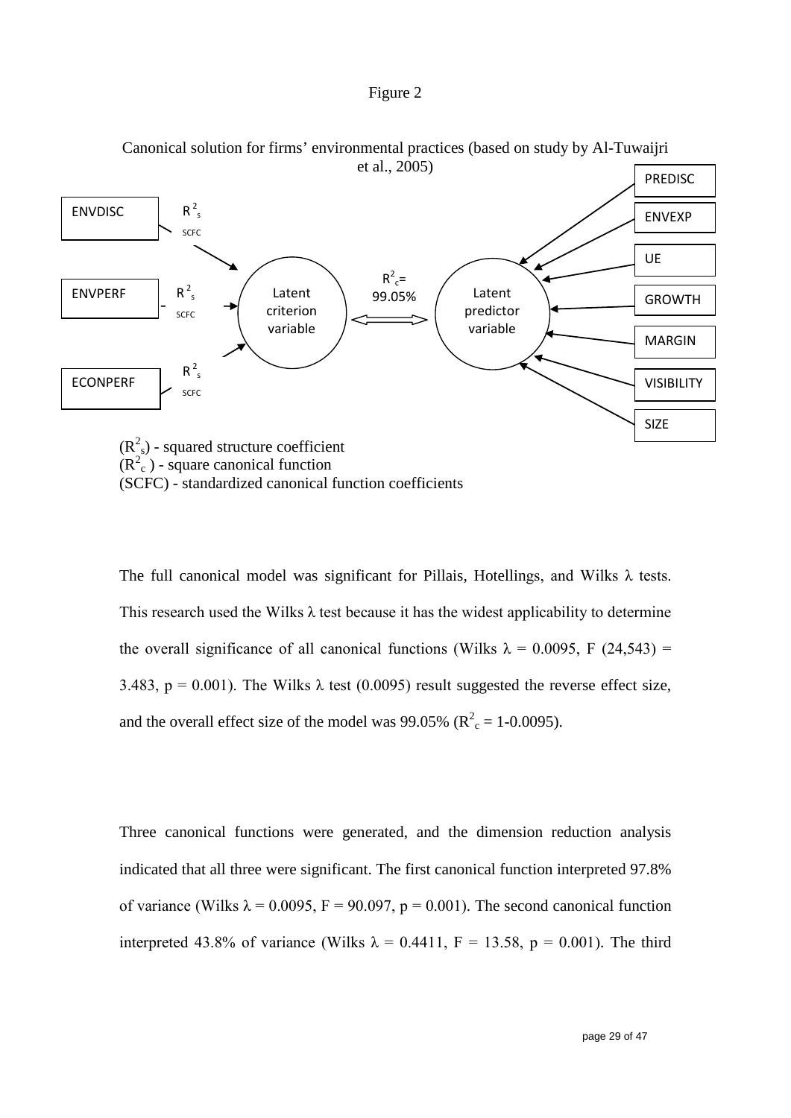#### Figure 2



Canonical solution for firms' environmental practices (based on study by Al-Tuwaijri

The full canonical model was significant for Pillais, Hotellings, and Wilks  $\lambda$  tests. This research used the Wilks  $\lambda$  test because it has the widest applicability to determine the overall significance of all canonical functions (Wilks  $\lambda = 0.0095$ , F (24,543) = 3.483, p = 0.001). The Wilks  $\lambda$  test (0.0095) result suggested the reverse effect size, and the overall effect size of the model was 99.05% ( $R_c^2$  = 1-0.0095).

Three canonical functions were generated, and the dimension reduction analysis indicated that all three were significant. The first canonical function interpreted 97.8% of variance (Wilks  $\lambda = 0.0095$ , F = 90.097, p = 0.001). The second canonical function interpreted 43.8% of variance (Wilks  $\lambda = 0.4411$ , F = 13.58, p = 0.001). The third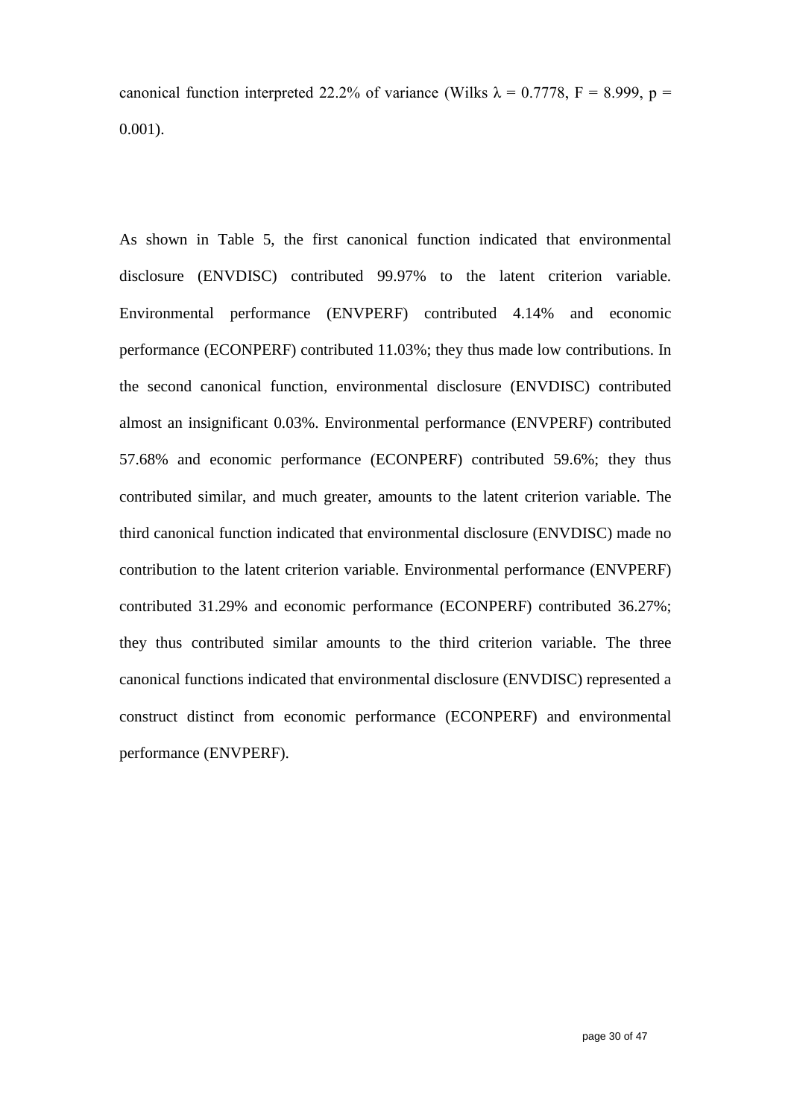canonical function interpreted 22.2% of variance (Wilks  $\lambda = 0.7778$ , F = 8.999, p = 0.001).

As shown in Table 5, the first canonical function indicated that environmental disclosure (ENVDISC) contributed 99.97% to the latent criterion variable. Environmental performance (ENVPERF) contributed 4.14% and economic performance (ECONPERF) contributed 11.03%; they thus made low contributions. In the second canonical function, environmental disclosure (ENVDISC) contributed almost an insignificant 0.03%. Environmental performance (ENVPERF) contributed 57.68% and economic performance (ECONPERF) contributed 59.6%; they thus contributed similar, and much greater, amounts to the latent criterion variable. The third canonical function indicated that environmental disclosure (ENVDISC) made no contribution to the latent criterion variable. Environmental performance (ENVPERF) contributed 31.29% and economic performance (ECONPERF) contributed 36.27%; they thus contributed similar amounts to the third criterion variable. The three canonical functions indicated that environmental disclosure (ENVDISC) represented a construct distinct from economic performance (ECONPERF) and environmental performance (ENVPERF).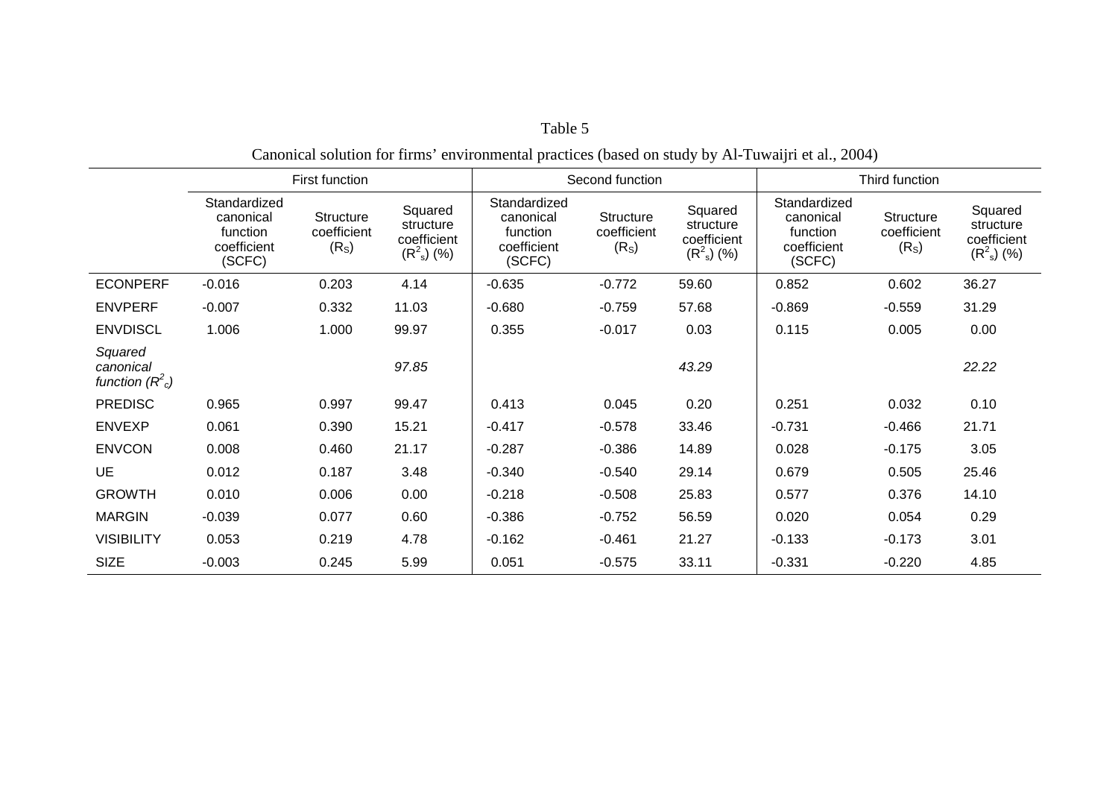| $\frac{1}{2}$ . The contract of the commutation proverses (concerned by $\frac{1}{2}$ of $\frac{1}{2}$ in the complete statistic |                                                                |                                                      |                                                        |                                                                |                                               |                                                        |                                                                |                                               |                                                        |
|----------------------------------------------------------------------------------------------------------------------------------|----------------------------------------------------------------|------------------------------------------------------|--------------------------------------------------------|----------------------------------------------------------------|-----------------------------------------------|--------------------------------------------------------|----------------------------------------------------------------|-----------------------------------------------|--------------------------------------------------------|
|                                                                                                                                  | First function                                                 |                                                      | Second function                                        |                                                                | Third function                                |                                                        |                                                                |                                               |                                                        |
|                                                                                                                                  | Standardized<br>canonical<br>function<br>coefficient<br>(SCFC) | <b>Structure</b><br>coefficient<br>(R <sub>S</sub> ) | Squared<br>structure<br>coefficient<br>$(R^2_{s})$ (%) | Standardized<br>canonical<br>function<br>coefficient<br>(SCFC) | Structure<br>coefficient<br>(R <sub>S</sub> ) | Squared<br>structure<br>coefficient<br>$(R^2_{s})$ (%) | Standardized<br>canonical<br>function<br>coefficient<br>(SCFC) | Structure<br>coefficient<br>(R <sub>S</sub> ) | Squared<br>structure<br>coefficient<br>$(R^2_{s})$ (%) |
| <b>ECONPERF</b>                                                                                                                  | $-0.016$                                                       | 0.203                                                | 4.14                                                   | $-0.635$                                                       | $-0.772$                                      | 59.60                                                  | 0.852                                                          | 0.602                                         | 36.27                                                  |
| <b>ENVPERF</b>                                                                                                                   | $-0.007$                                                       | 0.332                                                | 11.03                                                  | $-0.680$                                                       | $-0.759$                                      | 57.68                                                  | $-0.869$                                                       | $-0.559$                                      | 31.29                                                  |
| <b>ENVDISCL</b>                                                                                                                  | 1.006                                                          | 1.000                                                | 99.97                                                  | 0.355                                                          | $-0.017$                                      | 0.03                                                   | 0.115                                                          | 0.005                                         | 0.00                                                   |
| Squared<br>canonical<br>function $(R^2)$                                                                                         |                                                                |                                                      | 97.85                                                  |                                                                |                                               | 43.29                                                  |                                                                |                                               | 22.22                                                  |
| <b>PREDISC</b>                                                                                                                   | 0.965                                                          | 0.997                                                | 99.47                                                  | 0.413                                                          | 0.045                                         | 0.20                                                   | 0.251                                                          | 0.032                                         | 0.10                                                   |
| <b>ENVEXP</b>                                                                                                                    | 0.061                                                          | 0.390                                                | 15.21                                                  | $-0.417$                                                       | $-0.578$                                      | 33.46                                                  | $-0.731$                                                       | $-0.466$                                      | 21.71                                                  |
| <b>ENVCON</b>                                                                                                                    | 0.008                                                          | 0.460                                                | 21.17                                                  | $-0.287$                                                       | $-0.386$                                      | 14.89                                                  | 0.028                                                          | $-0.175$                                      | 3.05                                                   |
| <b>UE</b>                                                                                                                        | 0.012                                                          | 0.187                                                | 3.48                                                   | $-0.340$                                                       | $-0.540$                                      | 29.14                                                  | 0.679                                                          | 0.505                                         | 25.46                                                  |
| <b>GROWTH</b>                                                                                                                    | 0.010                                                          | 0.006                                                | 0.00                                                   | $-0.218$                                                       | $-0.508$                                      | 25.83                                                  | 0.577                                                          | 0.376                                         | 14.10                                                  |
| <b>MARGIN</b>                                                                                                                    | $-0.039$                                                       | 0.077                                                | 0.60                                                   | $-0.386$                                                       | $-0.752$                                      | 56.59                                                  | 0.020                                                          | 0.054                                         | 0.29                                                   |
| <b>VISIBILITY</b>                                                                                                                | 0.053                                                          | 0.219                                                | 4.78                                                   | $-0.162$                                                       | $-0.461$                                      | 21.27                                                  | $-0.133$                                                       | $-0.173$                                      | 3.01                                                   |
| <b>SIZE</b>                                                                                                                      | $-0.003$                                                       | 0.245                                                | 5.99                                                   | 0.051                                                          | $-0.575$                                      | 33.11                                                  | $-0.331$                                                       | $-0.220$                                      | 4.85                                                   |

### Canonical solution for firms' environmental practices (based on study by Al-Tuwaijri et al., 2004)

Table 5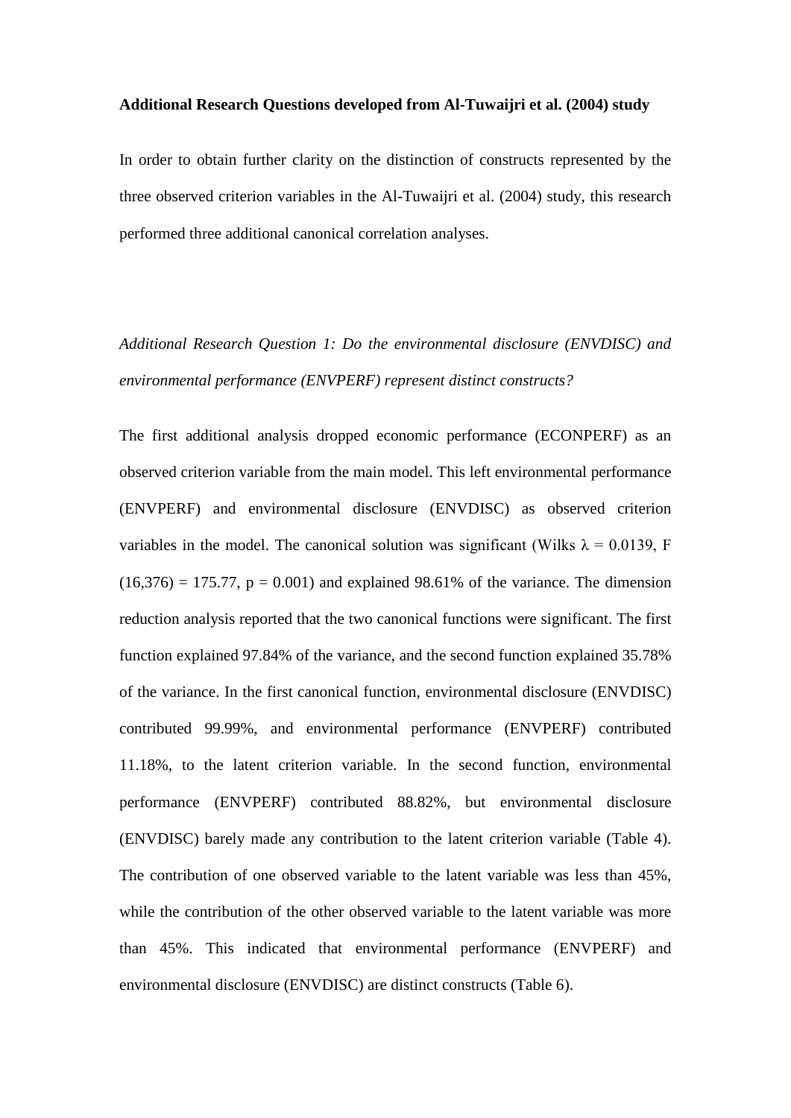#### **Additional Research Questions developed from Al-Tuwaijri et al. (2004) study**

In order to obtain further clarity on the distinction of constructs represented by the three observed criterion variables in the Al-Tuwaijri et al. (2004) study, this research performed three additional canonical correlation analyses.

*Additional Research Question 1: Do the environmental disclosure (ENVDISC) and environmental performance (ENVPERF) represent distinct constructs?*

The first additional analysis dropped economic performance (ECONPERF) as an observed criterion variable from the main model. This left environmental performance (ENVPERF) and environmental disclosure (ENVDISC) as observed criterion variables in the model. The canonical solution was significant (Wilks  $\lambda = 0.0139$ , F  $(16,376) = 175.77$ ,  $p = 0.001$ ) and explained 98.61% of the variance. The dimension reduction analysis reported that the two canonical functions were significant. The first function explained 97.84% of the variance, and the second function explained 35.78% of the variance. In the first canonical function, environmental disclosure (ENVDISC) contributed 99.99%, and environmental performance (ENVPERF) contributed 11.18%, to the latent criterion variable. In the second function, environmental performance (ENVPERF) contributed 88.82%, but environmental disclosure (ENVDISC) barely made any contribution to the latent criterion variable (Table 4). The contribution of one observed variable to the latent variable was less than 45%, while the contribution of the other observed variable to the latent variable was more than 45%. This indicated that environmental performance (ENVPERF) and environmental disclosure (ENVDISC) are distinct constructs (Table 6).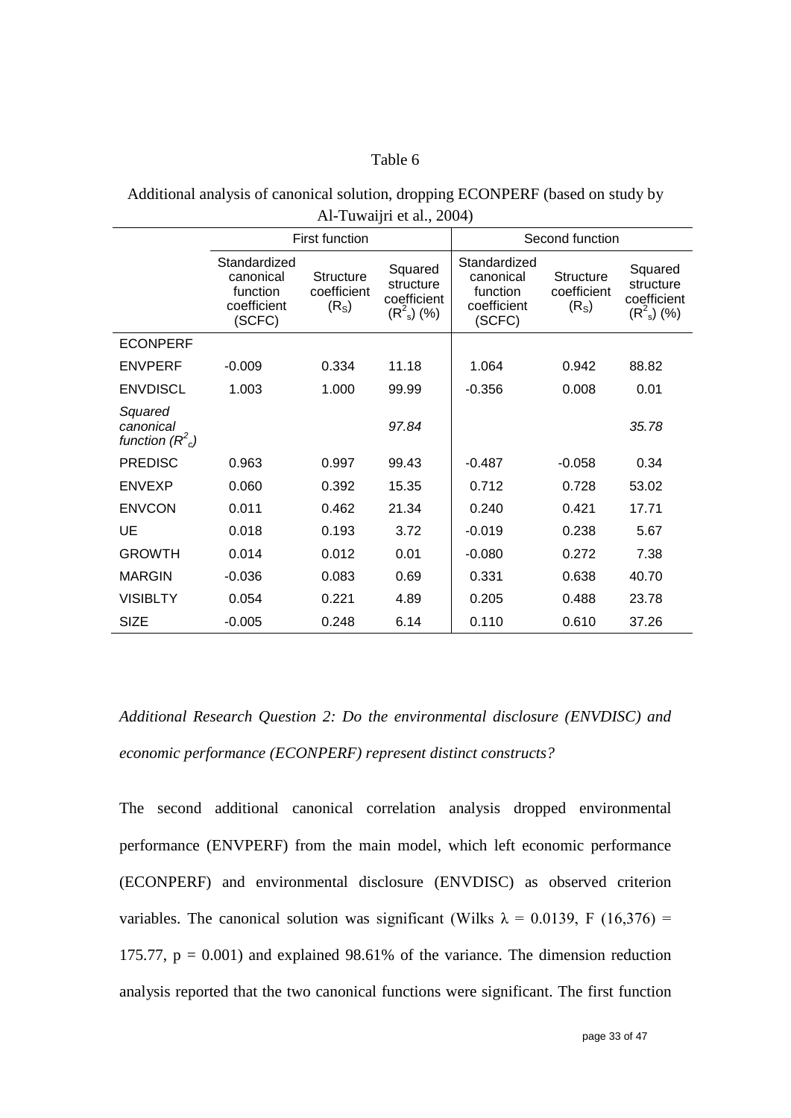### Table 6

| Additional analysis of canonical solution, dropping ECONPERF (based on study by |
|---------------------------------------------------------------------------------|
| Al-Tuwaijri et al., 2004)                                                       |

|                                           |                                                                | <b>First function</b>                                |                                                      | Second function                                                |                                                      |                                                        |
|-------------------------------------------|----------------------------------------------------------------|------------------------------------------------------|------------------------------------------------------|----------------------------------------------------------------|------------------------------------------------------|--------------------------------------------------------|
|                                           | Standardized<br>canonical<br>function<br>coefficient<br>(SCFC) | <b>Structure</b><br>coefficient<br>(R <sub>S</sub> ) | Squared<br>structure<br>coefficient<br>$(R^2_s)$ (%) | Standardized<br>canonical<br>function<br>coefficient<br>(SCFC) | <b>Structure</b><br>coefficient<br>(R <sub>S</sub> ) | Squared<br>structure<br>coefficient<br>$(R^2_{s})$ (%) |
| <b>ECONPERF</b>                           |                                                                |                                                      |                                                      |                                                                |                                                      |                                                        |
| <b>ENVPERF</b>                            | $-0.009$                                                       | 0.334                                                | 11.18                                                | 1.064                                                          | 0.942                                                | 88.82                                                  |
| <b>ENVDISCL</b>                           | 1.003                                                          | 1.000                                                | 99.99                                                | $-0.356$                                                       | 0.008                                                | 0.01                                                   |
| Squared<br>canonical<br>function $(R^2c)$ |                                                                |                                                      | 97.84                                                |                                                                |                                                      | 35.78                                                  |
| <b>PREDISC</b>                            | 0.963                                                          | 0.997                                                | 99.43                                                | $-0.487$                                                       | $-0.058$                                             | 0.34                                                   |
| <b>ENVEXP</b>                             | 0.060                                                          | 0.392                                                | 15.35                                                | 0.712                                                          | 0.728                                                | 53.02                                                  |
| <b>ENVCON</b>                             | 0.011                                                          | 0.462                                                | 21.34                                                | 0.240                                                          | 0.421                                                | 17.71                                                  |
| UE                                        | 0.018                                                          | 0.193                                                | 3.72                                                 | $-0.019$                                                       | 0.238                                                | 5.67                                                   |
| <b>GROWTH</b>                             | 0.014                                                          | 0.012                                                | 0.01                                                 | $-0.080$                                                       | 0.272                                                | 7.38                                                   |
| <b>MARGIN</b>                             | $-0.036$                                                       | 0.083                                                | 0.69                                                 | 0.331                                                          | 0.638                                                | 40.70                                                  |
| <b>VISIBLTY</b>                           | 0.054                                                          | 0.221                                                | 4.89                                                 | 0.205                                                          | 0.488                                                | 23.78                                                  |
| <b>SIZE</b>                               | $-0.005$                                                       | 0.248                                                | 6.14                                                 | 0.110                                                          | 0.610                                                | 37.26                                                  |

*Additional Research Question 2: Do the environmental disclosure (ENVDISC) and economic performance (ECONPERF) represent distinct constructs?*

The second additional canonical correlation analysis dropped environmental performance (ENVPERF) from the main model, which left economic performance (ECONPERF) and environmental disclosure (ENVDISC) as observed criterion variables. The canonical solution was significant (Wilks  $\lambda = 0.0139$ , F (16,376) = 175.77,  $p = 0.001$ ) and explained 98.61% of the variance. The dimension reduction analysis reported that the two canonical functions were significant. The first function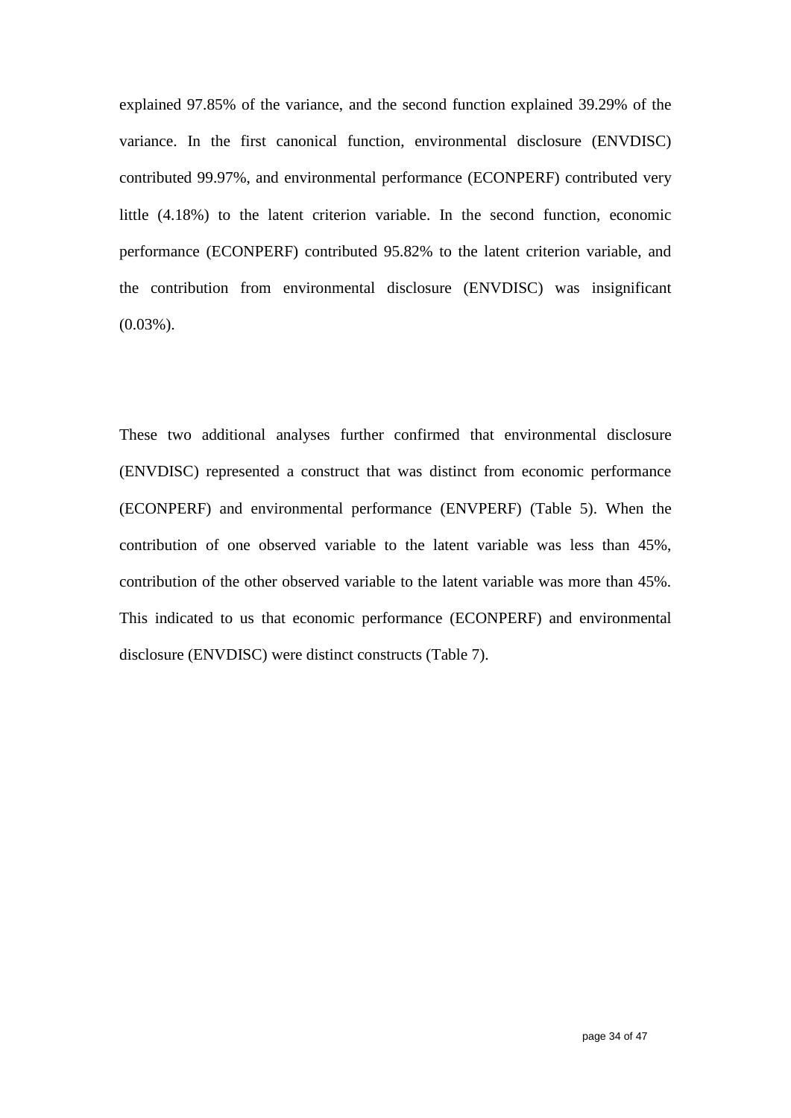explained 97.85% of the variance, and the second function explained 39.29% of the variance. In the first canonical function, environmental disclosure (ENVDISC) contributed 99.97%, and environmental performance (ECONPERF) contributed very little (4.18%) to the latent criterion variable. In the second function, economic performance (ECONPERF) contributed 95.82% to the latent criterion variable, and the contribution from environmental disclosure (ENVDISC) was insignificant (0.03%).

These two additional analyses further confirmed that environmental disclosure (ENVDISC) represented a construct that was distinct from economic performance (ECONPERF) and environmental performance (ENVPERF) (Table 5). When the contribution of one observed variable to the latent variable was less than 45%, contribution of the other observed variable to the latent variable was more than 45%. This indicated to us that economic performance (ECONPERF) and environmental disclosure (ENVDISC) were distinct constructs (Table 7).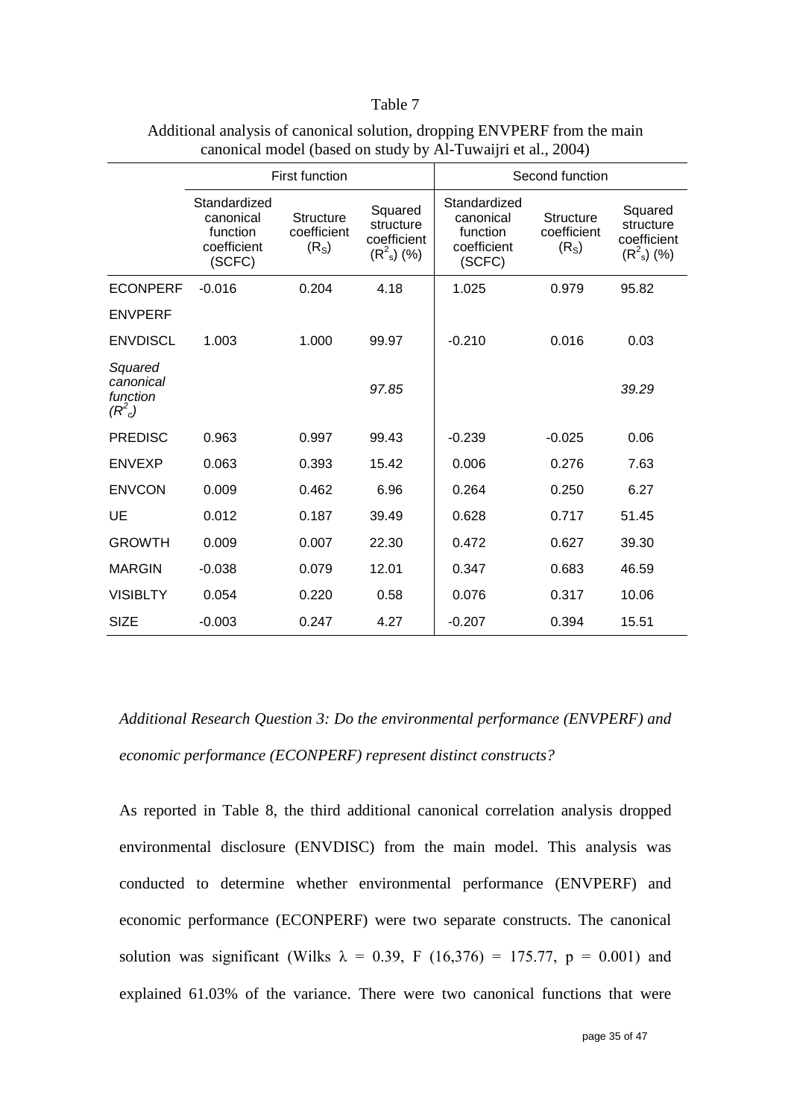#### Table 7

|                                                                    |                                                                | <b>First function</b>                                |                                                        | Second function                                                |                                                      |                                                        |
|--------------------------------------------------------------------|----------------------------------------------------------------|------------------------------------------------------|--------------------------------------------------------|----------------------------------------------------------------|------------------------------------------------------|--------------------------------------------------------|
|                                                                    | Standardized<br>canonical<br>function<br>coefficient<br>(SCFC) | <b>Structure</b><br>coefficient<br>(R <sub>S</sub> ) | Squared<br>structure<br>coefficient<br>$(R^2_{s})$ (%) | Standardized<br>canonical<br>function<br>coefficient<br>(SCFC) | <b>Structure</b><br>coefficient<br>(R <sub>S</sub> ) | Squared<br>structure<br>coefficient<br>$(R^2_{s})$ (%) |
| <b>ECONPERF</b>                                                    | $-0.016$                                                       | 0.204                                                | 4.18                                                   | 1.025                                                          | 0.979                                                | 95.82                                                  |
| <b>ENVPERF</b>                                                     |                                                                |                                                      |                                                        |                                                                |                                                      |                                                        |
| <b>ENVDISCL</b>                                                    | 1.003                                                          | 1.000                                                | 99.97                                                  | $-0.210$                                                       | 0.016                                                | 0.03                                                   |
| Squared<br>canonical<br>function<br>(R <sup>2</sup> <sub>c</sub> ) |                                                                |                                                      | 97.85                                                  |                                                                |                                                      | 39.29                                                  |
| <b>PREDISC</b>                                                     | 0.963                                                          | 0.997                                                | 99.43                                                  | $-0.239$                                                       | $-0.025$                                             | 0.06                                                   |
| <b>ENVEXP</b>                                                      | 0.063                                                          | 0.393                                                | 15.42                                                  | 0.006                                                          | 0.276                                                | 7.63                                                   |
| <b>ENVCON</b>                                                      | 0.009                                                          | 0.462                                                | 6.96                                                   | 0.264                                                          | 0.250                                                | 6.27                                                   |
| UE                                                                 | 0.012                                                          | 0.187                                                | 39.49                                                  | 0.628                                                          | 0.717                                                | 51.45                                                  |
| <b>GROWTH</b>                                                      | 0.009                                                          | 0.007                                                | 22.30                                                  | 0.472                                                          | 0.627                                                | 39.30                                                  |
| <b>MARGIN</b>                                                      | $-0.038$                                                       | 0.079                                                | 12.01                                                  | 0.347                                                          | 0.683                                                | 46.59                                                  |
| <b>VISIBLTY</b>                                                    | 0.054                                                          | 0.220                                                | 0.58                                                   | 0.076                                                          | 0.317                                                | 10.06                                                  |
| <b>SIZE</b>                                                        | $-0.003$                                                       | 0.247                                                | 4.27                                                   | $-0.207$                                                       | 0.394                                                | 15.51                                                  |

## Additional analysis of canonical solution, dropping ENVPERF from the main canonical model (based on study by Al-Tuwaijri et al., 2004)

*Additional Research Question 3: Do the environmental performance (ENVPERF) and economic performance (ECONPERF) represent distinct constructs?*

As reported in Table 8, the third additional canonical correlation analysis dropped environmental disclosure (ENVDISC) from the main model. This analysis was conducted to determine whether environmental performance (ENVPERF) and economic performance (ECONPERF) were two separate constructs. The canonical solution was significant (Wilks  $\lambda = 0.39$ , F (16,376) = 175.77, p = 0.001) and explained 61.03% of the variance. There were two canonical functions that were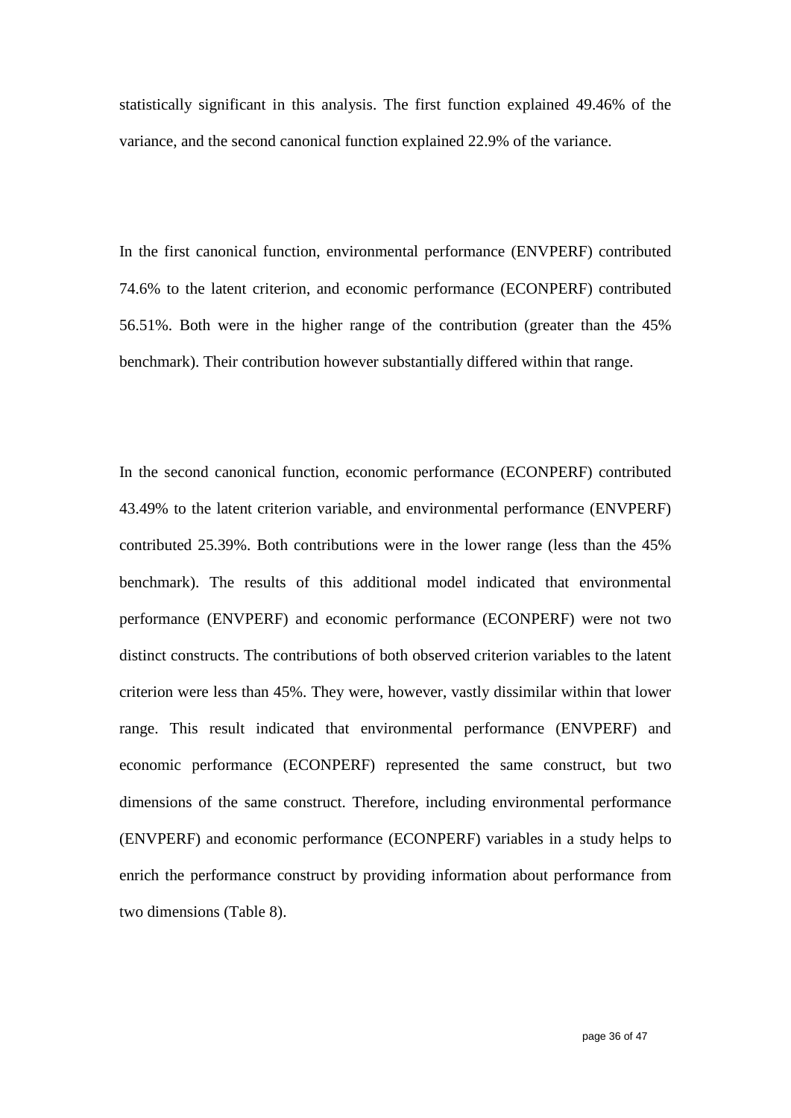statistically significant in this analysis. The first function explained 49.46% of the variance, and the second canonical function explained 22.9% of the variance.

In the first canonical function, environmental performance (ENVPERF) contributed 74.6% to the latent criterion, and economic performance (ECONPERF) contributed 56.51%. Both were in the higher range of the contribution (greater than the 45% benchmark). Their contribution however substantially differed within that range.

In the second canonical function, economic performance (ECONPERF) contributed 43.49% to the latent criterion variable, and environmental performance (ENVPERF) contributed 25.39%. Both contributions were in the lower range (less than the 45% benchmark). The results of this additional model indicated that environmental performance (ENVPERF) and economic performance (ECONPERF) were not two distinct constructs. The contributions of both observed criterion variables to the latent criterion were less than 45%. They were, however, vastly dissimilar within that lower range. This result indicated that environmental performance (ENVPERF) and economic performance (ECONPERF) represented the same construct, but two dimensions of the same construct. Therefore, including environmental performance (ENVPERF) and economic performance (ECONPERF) variables in a study helps to enrich the performance construct by providing information about performance from two dimensions (Table 8).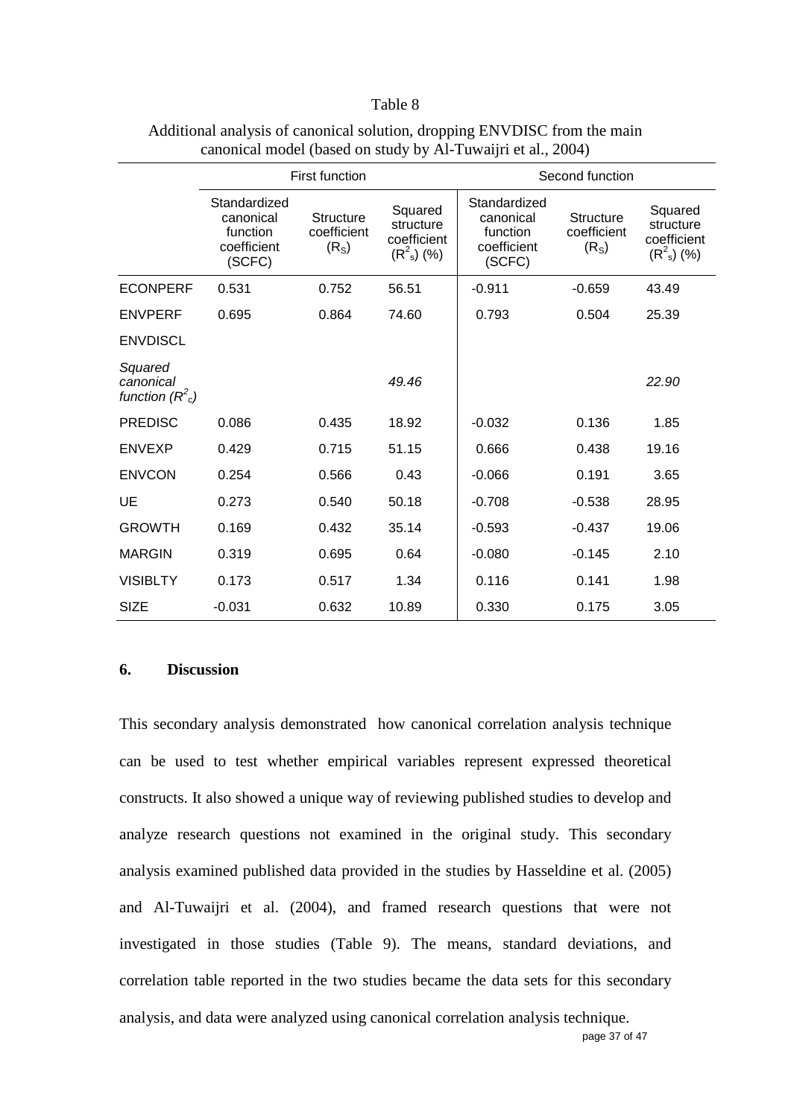#### Table 8

|                                           | <b>First function</b>                                          |                                                      |                                                        | Second function                                                |                                                      |                                                        |
|-------------------------------------------|----------------------------------------------------------------|------------------------------------------------------|--------------------------------------------------------|----------------------------------------------------------------|------------------------------------------------------|--------------------------------------------------------|
|                                           | Standardized<br>canonical<br>function<br>coefficient<br>(SCFC) | <b>Structure</b><br>coefficient<br>(R <sub>S</sub> ) | Squared<br>structure<br>coefficient<br>$(R^2_{s})$ (%) | Standardized<br>canonical<br>function<br>coefficient<br>(SCFC) | <b>Structure</b><br>coefficient<br>(R <sub>S</sub> ) | Squared<br>structure<br>coefficient<br>$(R^2_{s})$ (%) |
| <b>ECONPERF</b>                           | 0.531                                                          | 0.752                                                | 56.51                                                  | $-0.911$                                                       | $-0.659$                                             | 43.49                                                  |
| <b>ENVPERF</b>                            | 0.695                                                          | 0.864                                                | 74.60                                                  | 0.793                                                          | 0.504                                                | 25.39                                                  |
| <b>ENVDISCL</b>                           |                                                                |                                                      |                                                        |                                                                |                                                      |                                                        |
| Squared<br>canonical<br>function $(R^2c)$ |                                                                |                                                      | 49.46                                                  |                                                                |                                                      | 22.90                                                  |
| <b>PREDISC</b>                            | 0.086                                                          | 0.435                                                | 18.92                                                  | $-0.032$                                                       | 0.136                                                | 1.85                                                   |
| <b>ENVEXP</b>                             | 0.429                                                          | 0.715                                                | 51.15                                                  | 0.666                                                          | 0.438                                                | 19.16                                                  |
| <b>ENVCON</b>                             | 0.254                                                          | 0.566                                                | 0.43                                                   | $-0.066$                                                       | 0.191                                                | 3.65                                                   |
| UE                                        | 0.273                                                          | 0.540                                                | 50.18                                                  | $-0.708$                                                       | $-0.538$                                             | 28.95                                                  |
| <b>GROWTH</b>                             | 0.169                                                          | 0.432                                                | 35.14                                                  | $-0.593$                                                       | $-0.437$                                             | 19.06                                                  |
| <b>MARGIN</b>                             | 0.319                                                          | 0.695                                                | 0.64                                                   | $-0.080$                                                       | $-0.145$                                             | 2.10                                                   |
| <b>VISIBLTY</b>                           | 0.173                                                          | 0.517                                                | 1.34                                                   | 0.116                                                          | 0.141                                                | 1.98                                                   |
| <b>SIZE</b>                               | $-0.031$                                                       | 0.632                                                | 10.89                                                  | 0.330                                                          | 0.175                                                | 3.05                                                   |

## Additional analysis of canonical solution, dropping ENVDISC from the main canonical model (based on study by Al-Tuwaijri et al., 2004)

### **6. Discussion**

page 37 of 47 This secondary analysis demonstrated how canonical correlation analysis technique can be used to test whether empirical variables represent expressed theoretical constructs. It also showed a unique way of reviewing published studies to develop and analyze research questions not examined in the original study. This secondary analysis examined published data provided in the studies by Hasseldine et al. (2005) and Al-Tuwaijri et al. (2004), and framed research questions that were not investigated in those studies (Table 9). The means, standard deviations, and correlation table reported in the two studies became the data sets for this secondary analysis, and data were analyzed using canonical correlation analysis technique.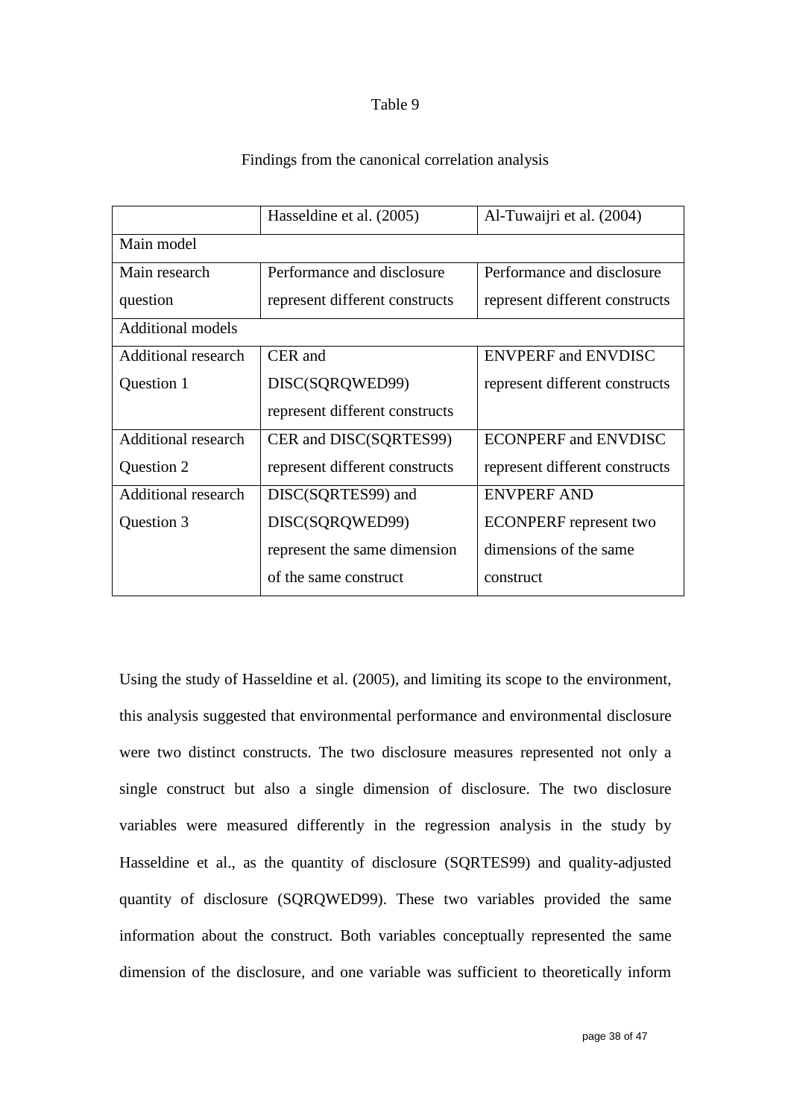#### Table 9

### Findings from the canonical correlation analysis

|                            | Hasseldine et al. (2005)       | Al-Tuwaijri et al. (2004)      |
|----------------------------|--------------------------------|--------------------------------|
| Main model                 |                                |                                |
| Main research              | Performance and disclosure     | Performance and disclosure     |
| question                   | represent different constructs | represent different constructs |
| <b>Additional models</b>   |                                |                                |
| <b>Additional research</b> | CER and                        | <b>ENVPERF and ENVDISC</b>     |
| Question 1                 | DISC(SQRQWED99)                | represent different constructs |
|                            | represent different constructs |                                |
| <b>Additional research</b> | CER and DISC(SQRTES99)         | <b>ECONPERF and ENVDISC</b>    |
| Question 2                 | represent different constructs | represent different constructs |
| <b>Additional research</b> | DISC(SQRTES99) and             | <b>ENVPERF AND</b>             |
| Question 3                 | DISC(SQRQWED99)                | <b>ECONPERF</b> represent two  |
|                            | represent the same dimension   | dimensions of the same         |
|                            | of the same construct          | construct                      |

Using the study of Hasseldine et al. (2005), and limiting its scope to the environment, this analysis suggested that environmental performance and environmental disclosure were two distinct constructs. The two disclosure measures represented not only a single construct but also a single dimension of disclosure. The two disclosure variables were measured differently in the regression analysis in the study by Hasseldine et al., as the quantity of disclosure (SQRTES99) and quality-adjusted quantity of disclosure (SQRQWED99). These two variables provided the same information about the construct. Both variables conceptually represented the same dimension of the disclosure, and one variable was sufficient to theoretically inform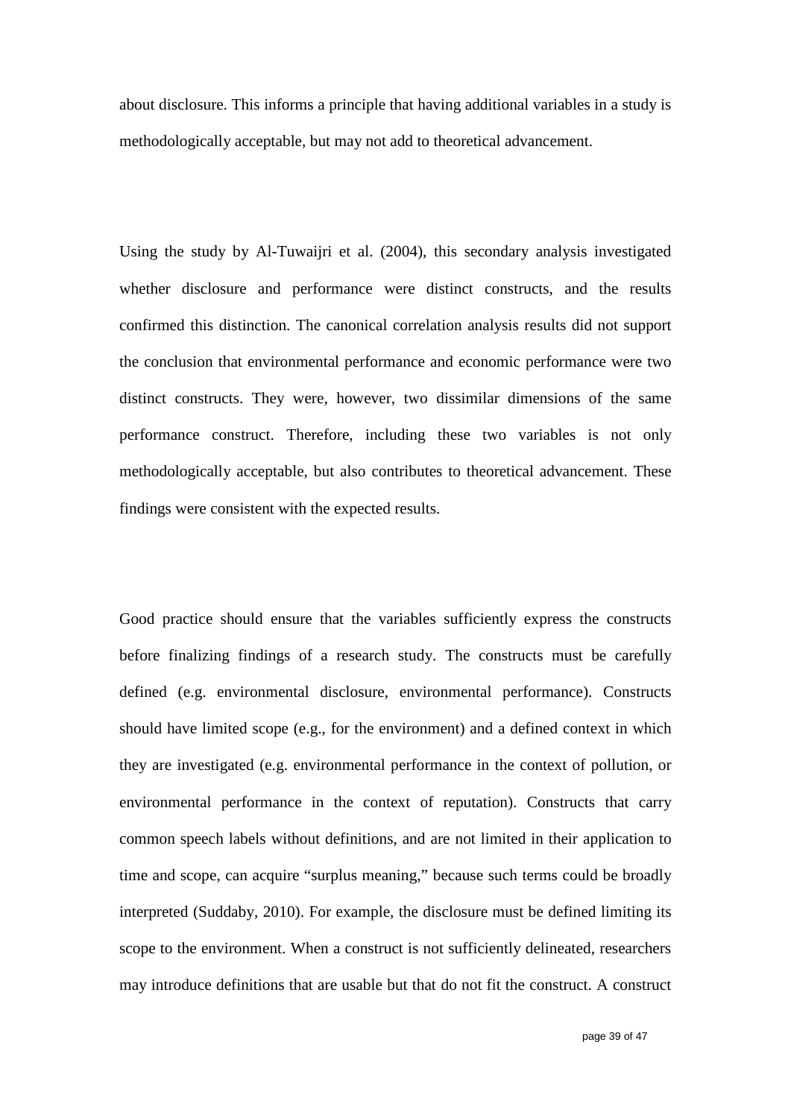about disclosure. This informs a principle that having additional variables in a study is methodologically acceptable, but may not add to theoretical advancement.

Using the study by Al-Tuwaijri et al. (2004), this secondary analysis investigated whether disclosure and performance were distinct constructs, and the results confirmed this distinction. The canonical correlation analysis results did not support the conclusion that environmental performance and economic performance were two distinct constructs. They were, however, two dissimilar dimensions of the same performance construct. Therefore, including these two variables is not only methodologically acceptable, but also contributes to theoretical advancement. These findings were consistent with the expected results.

Good practice should ensure that the variables sufficiently express the constructs before finalizing findings of a research study. The constructs must be carefully defined (e.g. environmental disclosure, environmental performance). Constructs should have limited scope (e.g., for the environment) and a defined context in which they are investigated (e.g. environmental performance in the context of pollution, or environmental performance in the context of reputation). Constructs that carry common speech labels without definitions, and are not limited in their application to time and scope, can acquire "surplus meaning," because such terms could be broadly interpreted (Suddaby, 2010). For example, the disclosure must be defined limiting its scope to the environment. When a construct is not sufficiently delineated, researchers may introduce definitions that are usable but that do not fit the construct. A construct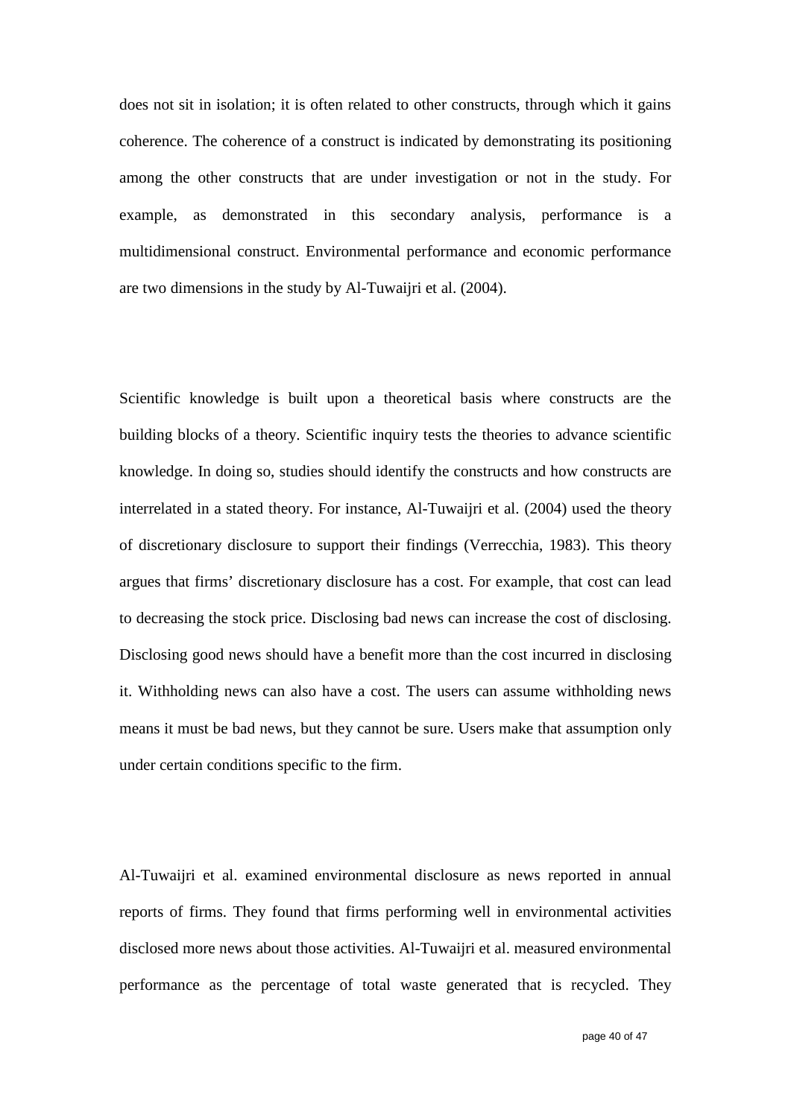does not sit in isolation; it is often related to other constructs, through which it gains coherence. The coherence of a construct is indicated by demonstrating its positioning among the other constructs that are under investigation or not in the study. For example, as demonstrated in this secondary analysis, performance is a multidimensional construct. Environmental performance and economic performance are two dimensions in the study by Al-Tuwaijri et al. (2004).

Scientific knowledge is built upon a theoretical basis where constructs are the building blocks of a theory. Scientific inquiry tests the theories to advance scientific knowledge. In doing so, studies should identify the constructs and how constructs are interrelated in a stated theory. For instance, Al-Tuwaijri et al. (2004) used the theory of discretionary disclosure to support their findings (Verrecchia, 1983). This theory argues that firms' discretionary disclosure has a cost. For example, that cost can lead to decreasing the stock price. Disclosing bad news can increase the cost of disclosing. Disclosing good news should have a benefit more than the cost incurred in disclosing it. Withholding news can also have a cost. The users can assume withholding news means it must be bad news, but they cannot be sure. Users make that assumption only under certain conditions specific to the firm.

Al-Tuwaijri et al. examined environmental disclosure as news reported in annual reports of firms. They found that firms performing well in environmental activities disclosed more news about those activities. Al-Tuwaijri et al. measured environmental performance as the percentage of total waste generated that is recycled. They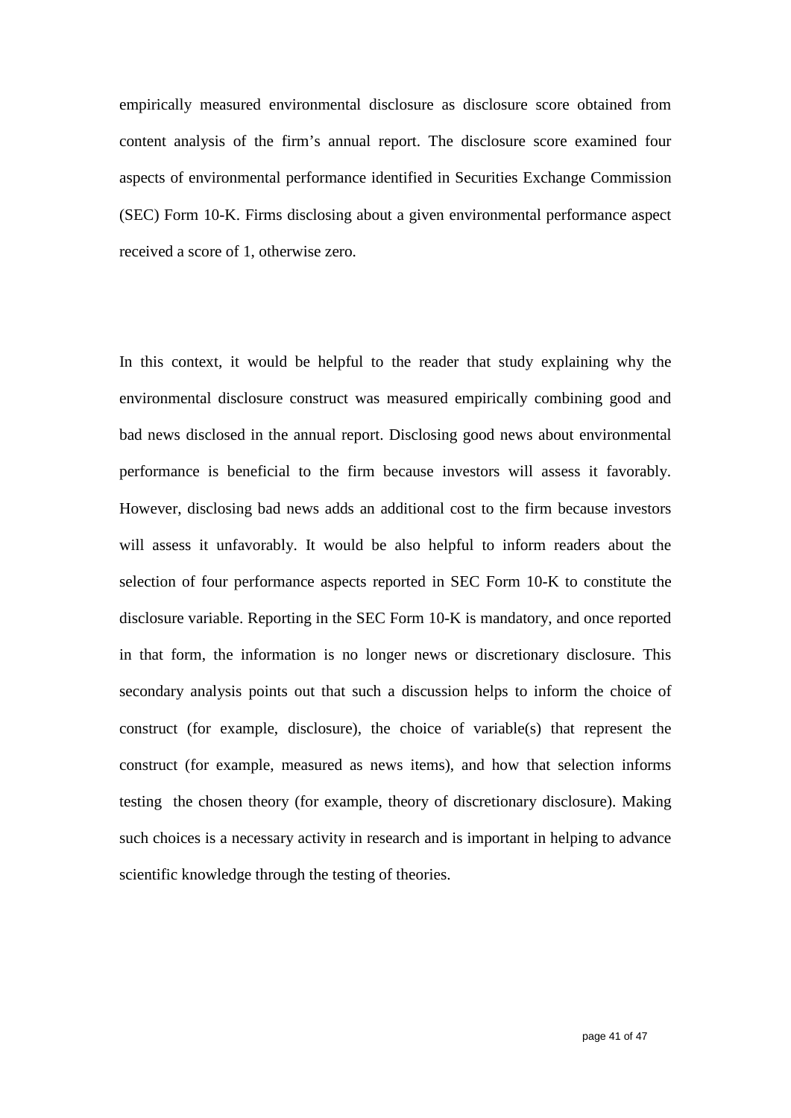empirically measured environmental disclosure as disclosure score obtained from content analysis of the firm's annual report. The disclosure score examined four aspects of environmental performance identified in Securities Exchange Commission (SEC) Form 10-K. Firms disclosing about a given environmental performance aspect received a score of 1, otherwise zero.

In this context, it would be helpful to the reader that study explaining why the environmental disclosure construct was measured empirically combining good and bad news disclosed in the annual report. Disclosing good news about environmental performance is beneficial to the firm because investors will assess it favorably. However, disclosing bad news adds an additional cost to the firm because investors will assess it unfavorably. It would be also helpful to inform readers about the selection of four performance aspects reported in SEC Form 10-K to constitute the disclosure variable. Reporting in the SEC Form 10-K is mandatory, and once reported in that form, the information is no longer news or discretionary disclosure. This secondary analysis points out that such a discussion helps to inform the choice of construct (for example, disclosure), the choice of variable(s) that represent the construct (for example, measured as news items), and how that selection informs testing the chosen theory (for example, theory of discretionary disclosure). Making such choices is a necessary activity in research and is important in helping to advance scientific knowledge through the testing of theories.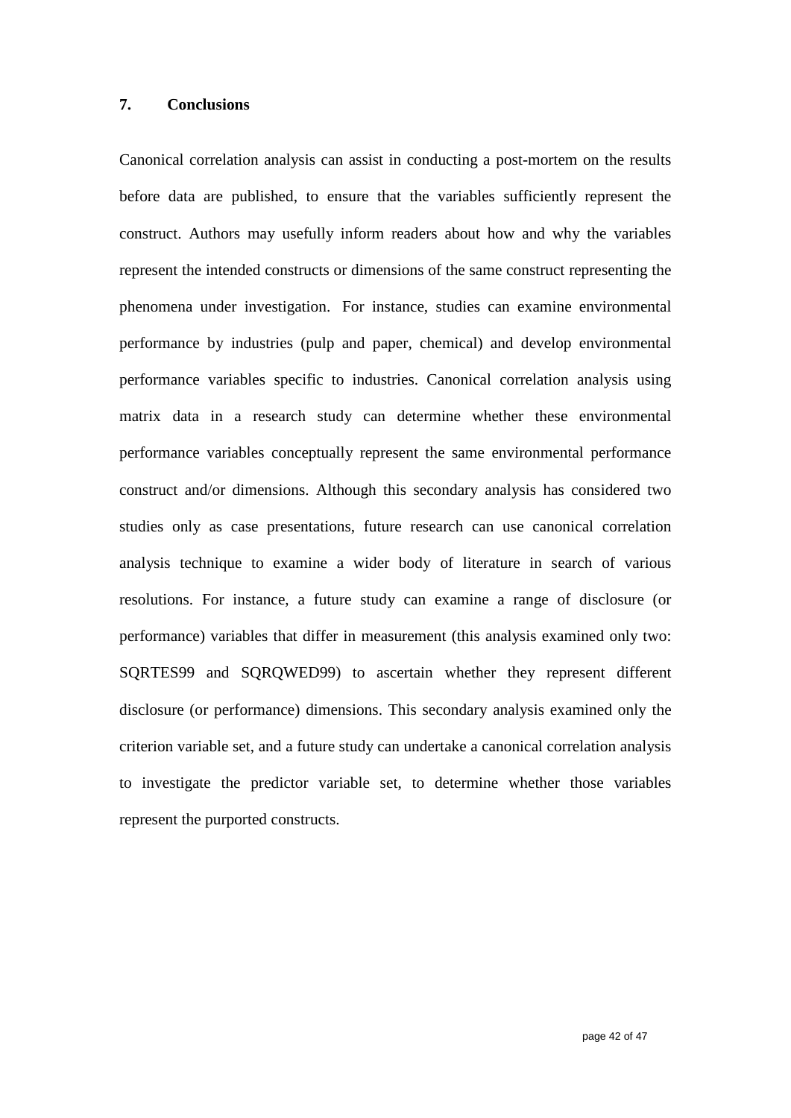#### **7. Conclusions**

Canonical correlation analysis can assist in conducting a post-mortem on the results before data are published, to ensure that the variables sufficiently represent the construct. Authors may usefully inform readers about how and why the variables represent the intended constructs or dimensions of the same construct representing the phenomena under investigation. For instance, studies can examine environmental performance by industries (pulp and paper, chemical) and develop environmental performance variables specific to industries. Canonical correlation analysis using matrix data in a research study can determine whether these environmental performance variables conceptually represent the same environmental performance construct and/or dimensions. Although this secondary analysis has considered two studies only as case presentations, future research can use canonical correlation analysis technique to examine a wider body of literature in search of various resolutions. For instance, a future study can examine a range of disclosure (or performance) variables that differ in measurement (this analysis examined only two: SQRTES99 and SQRQWED99) to ascertain whether they represent different disclosure (or performance) dimensions. This secondary analysis examined only the criterion variable set, and a future study can undertake a canonical correlation analysis to investigate the predictor variable set, to determine whether those variables represent the purported constructs.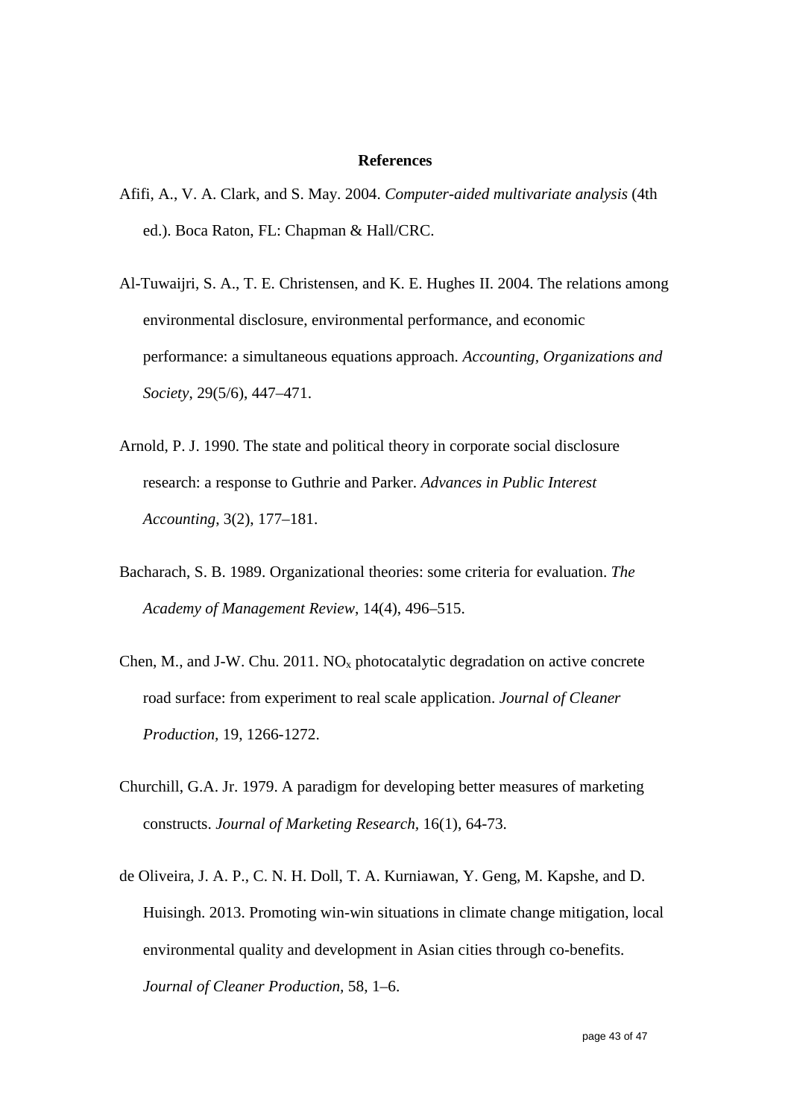#### **References**

- Afifi, A., V. A. Clark, and S. May. 2004. *Computer-aided multivariate analysis* (4th ed.). Boca Raton, FL: Chapman & Hall/CRC.
- Al-Tuwaijri, S. A., T. E. Christensen, and K. E. Hughes II. 2004. The relations among environmental disclosure, environmental performance, and economic performance: a simultaneous equations approach. *Accounting, Organizations and Society*, 29(5/6), 447–471.
- Arnold, P. J. 1990. The state and political theory in corporate social disclosure research: a response to Guthrie and Parker. *Advances in Public Interest Accounting*, 3(2), 177–181.
- Bacharach, S. B. 1989. Organizational theories: some criteria for evaluation. *The Academy of Management Review*, 14(4), 496–515.
- Chen, M., and J-W. Chu. 2011.  $NO<sub>x</sub>$  photocatalytic degradation on active concrete road surface: from experiment to real scale application. *Journal of Cleaner Production,* 19, 1266-1272.
- Churchill, G.A. Jr. 1979. A paradigm for developing better measures of marketing constructs. *Journal of Marketing Research,* 16(1), 64-73.
- de Oliveira, J. A. P., C. N. H. Doll, T. A. Kurniawan, Y. Geng, M. Kapshe, and D. Huisingh. 2013. Promoting win-win situations in climate change mitigation, local environmental quality and development in Asian cities through co-benefits. *Journal of Cleaner Production,* 58, 1–6.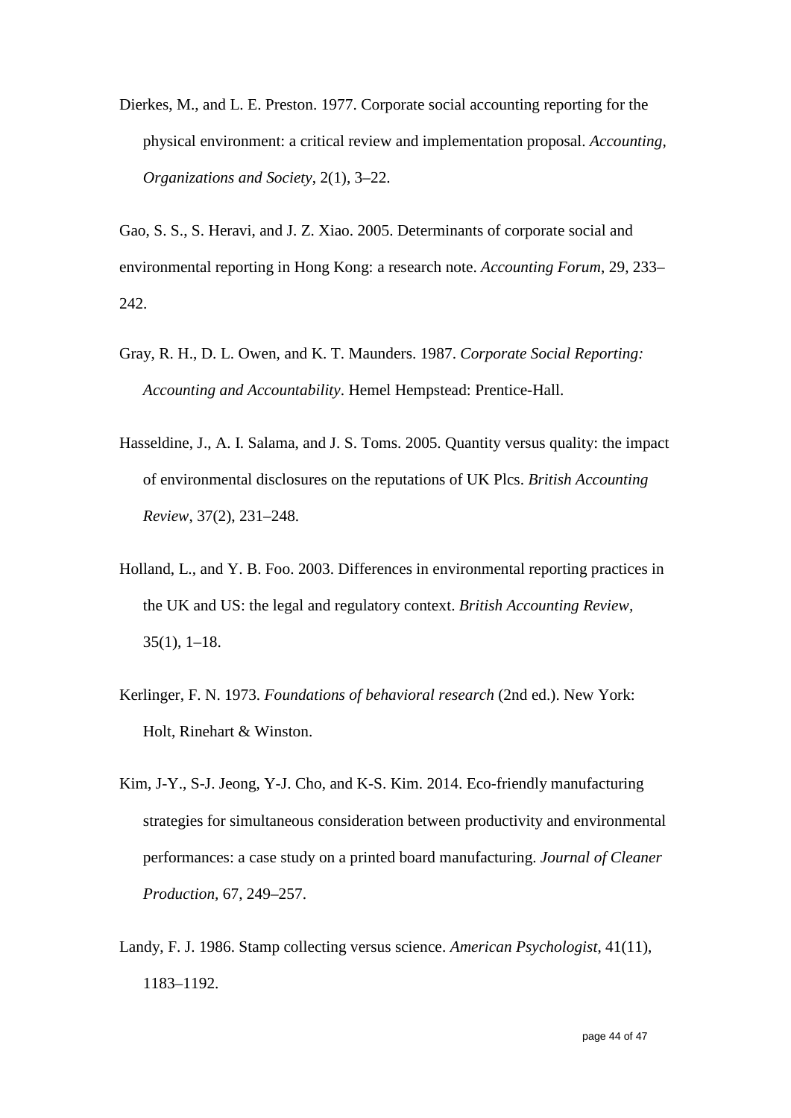Dierkes, M., and L. E. Preston. 1977. Corporate social accounting reporting for the physical environment: a critical review and implementation proposal. *Accounting, Organizations and Society*, 2(1), 3–22.

Gao, S. S., S. Heravi, and J. Z. Xiao. 2005. Determinants of corporate social and environmental reporting in Hong Kong: a research note. *Accounting Forum*, 29, 233– 242.

- Gray, R. H., D. L. Owen, and K. T. Maunders. 1987. *Corporate Social Reporting: Accounting and Accountability*. Hemel Hempstead: Prentice-Hall.
- Hasseldine, J., A. I. Salama, and J. S. Toms. 2005. Quantity versus quality: the impact of environmental disclosures on the reputations of UK Plcs. *British Accounting Review*, 37(2), 231–248.
- Holland, L., and Y. B. Foo. 2003. Differences in environmental reporting practices in the UK and US: the legal and regulatory context. *British Accounting Review,*  35(1), 1–18.
- Kerlinger, F. N. 1973. *Foundations of behavioral research* (2nd ed.). New York: Holt, Rinehart & Winston.
- Kim, J-Y., S-J. Jeong, Y-J. Cho, and K-S. Kim. 2014. Eco-friendly manufacturing strategies for simultaneous consideration between productivity and environmental performances: a case study on a printed board manufacturing. *Journal of Cleaner Production,* 67, 249–257.
- Landy, F. J. 1986. Stamp collecting versus science. *American Psychologist*, 41(11), 1183–1192.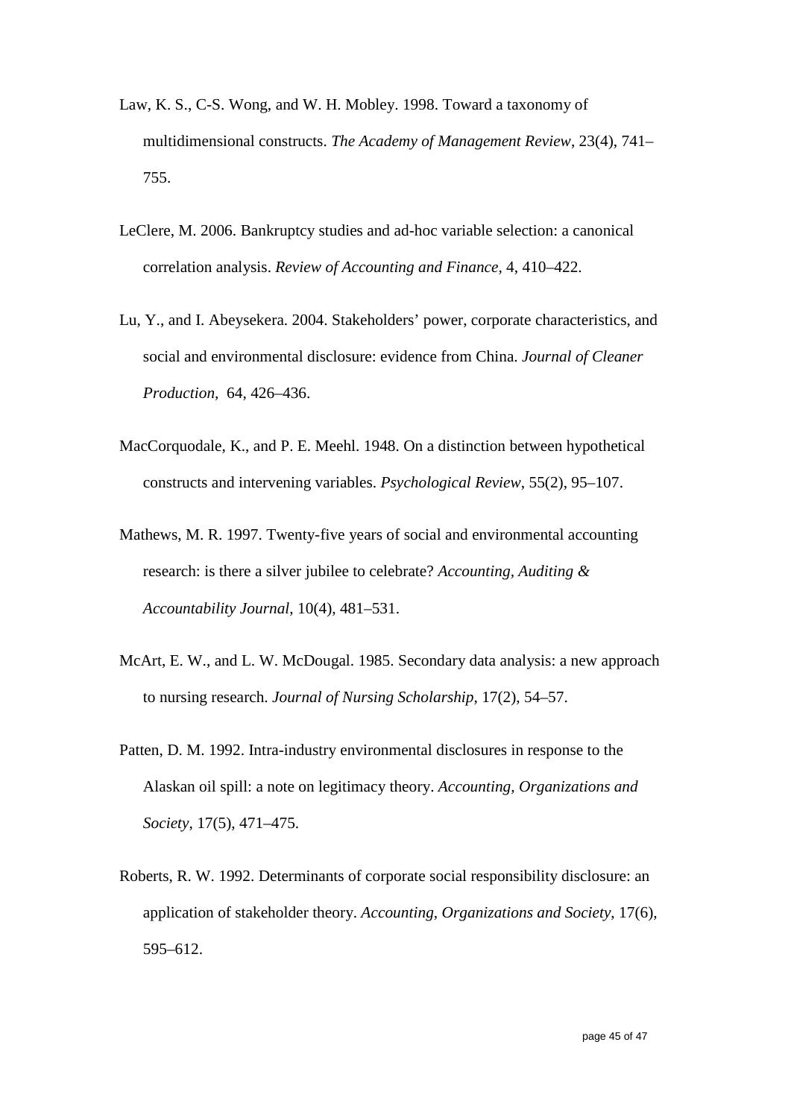- Law, K. S., C-S. Wong, and W. H. Mobley. 1998. Toward a taxonomy of multidimensional constructs. *The Academy of Management Review*, 23(4), 741– 755.
- LeClere, M. 2006. Bankruptcy studies and ad-hoc variable selection: a canonical correlation analysis. *Review of Accounting and Finance,* 4, 410–422.
- Lu, Y., and I. Abeysekera. 2004. Stakeholders' power, corporate characteristics, and social and environmental disclosure: evidence from China. *Journal of Cleaner Production,* 64, 426–436.
- MacCorquodale, K., and P. E. Meehl. 1948. On a distinction between hypothetical constructs and intervening variables. *Psychological Review*, 55(2), 95–107.
- Mathews, M. R. 1997. Twenty-five years of social and environmental accounting research: is there a silver jubilee to celebrate? *Accounting, Auditing & Accountability Journal*, 10(4), 481–531.
- McArt, E. W., and L. W. McDougal. 1985. Secondary data analysis: a new approach to nursing research. *Journal of Nursing Scholarship*, 17(2), 54–57.
- Patten, D. M. 1992. Intra-industry environmental disclosures in response to the Alaskan oil spill: a note on legitimacy theory. *Accounting, Organizations and Society*, 17(5), 471–475.
- Roberts, R. W. 1992. Determinants of corporate social responsibility disclosure: an application of stakeholder theory. *Accounting, Organizations and Society*, 17(6), 595–612.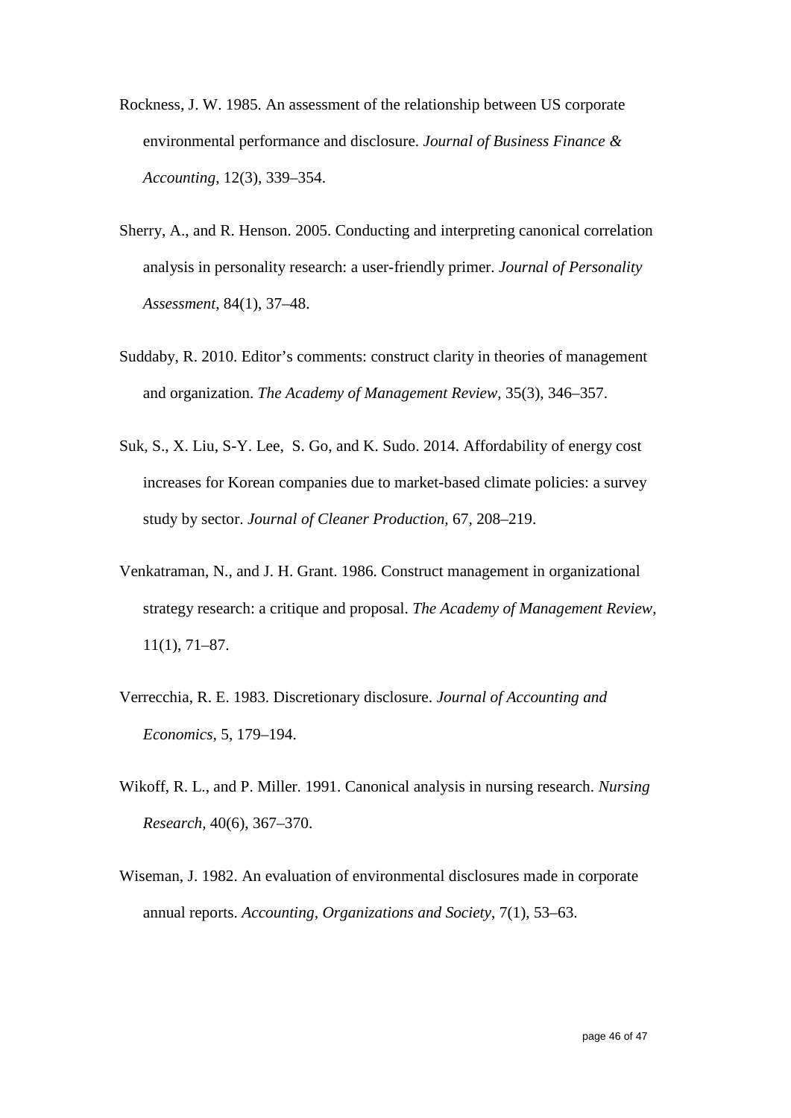- Rockness, J. W. 1985. An assessment of the relationship between US corporate environmental performance and disclosure. *Journal of Business Finance & Accounting*, 12(3), 339–354.
- Sherry, A., and R. Henson. 2005. Conducting and interpreting canonical correlation analysis in personality research: a user-friendly primer. *Journal of Personality Assessment*, 84(1), 37–48.
- Suddaby, R. 2010. Editor's comments: construct clarity in theories of management and organization. *The Academy of Management Review*, 35(3), 346–357.
- Suk, S., X. Liu, S-Y. Lee, S. Go, and K. Sudo. 2014. Affordability of energy cost increases for Korean companies due to market-based climate policies: a survey study by sector. *Journal of Cleaner Production,* 67, 208–219.
- Venkatraman, N., and J. H. Grant. 1986. Construct management in organizational strategy research: a critique and proposal. *The Academy of Management Review*, 11(1), 71–87.
- Verrecchia, R. E. 1983. Discretionary disclosure. *Journal of Accounting and Economics,* 5, 179–194.
- Wikoff, R. L., and P. Miller. 1991. Canonical analysis in nursing research. *Nursing Research,* 40(6), 367–370.
- Wiseman, J. 1982. An evaluation of environmental disclosures made in corporate annual reports. *Accounting, Organizations and Society*, 7(1), 53–63.